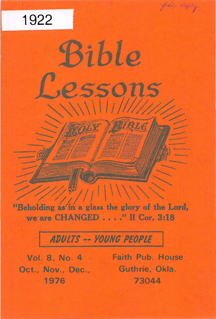"Beholding as'in a glass the glory of the Lord, we are CHANGED . . . . " II Cor. 3:18

ible

 $551$ 

# **ADULTS -- YOUNG PEOPLE**

Oct., Nov., Dec., Guthrie, Okla.

1922

Vol. 8, No. 4 Faith Pub. House 1976 73044

file copy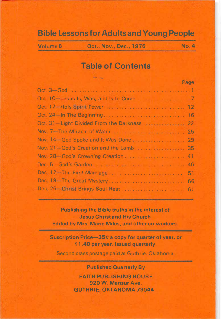# Bible Lessons for Adults and Young People

Volume 8 0ct., Nov., Dec., 1976 No. 4

# Table of Contents

|                                             | Page |
|---------------------------------------------|------|
|                                             |      |
|                                             |      |
|                                             |      |
|                                             |      |
| Oct. 31-Light Divided From the Darkness  22 |      |
|                                             |      |
|                                             |      |
|                                             |      |
| Nov 28-God's Crowning Creation 41           |      |
|                                             |      |
|                                             |      |
|                                             |      |
|                                             |      |

### Publishing the Bible truths in the interest of Jesus Christ and His Church Edited by Mrs. Marie Miles, and other co-workers.

Suscription Price-35C a copy for quarter of year, or \$1.40 per year, issued quarterly.

Second class postage paid at Guthrie, Oklahoma.

#### Published Quarterly By

FAITH PUBLISHING HOUSE 920 W. Mansur Ave. GUTHRIE. OKLAHOMA 73044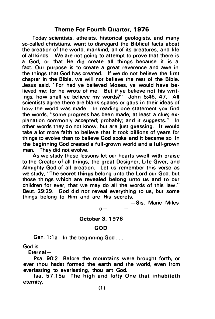#### Theme For Fourth Quarter. 1976

Today scientists, atheists, historical geologists, and many so-called christians, want to disregard the Biblical facts about the creation of the world, mankind, all of its creatures, and life of all kinds. We are not going to attempt to prove that there is a God, or that He did create all things because it is a fact. Our purpose is to create a great reverence and awe in the things that God has created. If we do not believe the first chapter in the Bible, we will not believe the rest of the Bible. Jesus said, "For had ye believed Moses, ye would have believed me: for he wrote of me. But if ye believe not his writings, how shall ye believe my words?" John 5:46, 47. All scientists agree there are blank spaces or gaps in their ideas of how the world was made. In reading one statement you find the words, "some progress has been made; at least a clue; explanation commonly accepted; probably; and it suggests." In other words they do not know, but are just guessing. It would take a lot more faith to believe that it took billions of vears for things to evolve than to believe God spoke and it became so. In the beginning God created a full-grown world and a full-grown man. They did not evolve.

As we study these lessons let our hearts swell with praise to the Creator of all things, the great Designer, Life Giver, and Almighty God of all creation. Let us remember this verse as we study, "The secret things belong unto the Lord our God: but those things which are revealed belong unto us and to our children for ever, that we may do all the words of this law." Deut. 29:29. God did not reveal everything to us, but some things belong to Him and are His secrets.

-Sis. Marie Miles

## ———————0——————— October 3, 1 976

#### GOD

Gen.  $1:1a$  In the beginning God ...

God is:

Eternal-

Psa. 90:2 Before the mountains were brought forth, or ever thou hadst formed the earth and the world, even from everlasting to everlasting, thou art God.

Isa. 57:15a. The high and lofty One that inhabiteth eternity.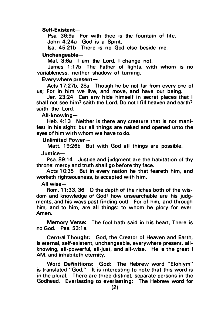#### Self-Existent-

Psa. 36:9a For with thee is the fountain of life.

John 4:24a God is a Spirit.

lsa. 45:21 b There is no God else beside me.

#### Unchangeable-

Mal. 3:6a I am the Lord, I change not.

James 1:17b The Father of lights, with whom is no variableness, neither shadow of turning.

Everywhere present-

Acts 17:27b, 28a Though he be not far from every one of us; For in him we live, and move, and have our being.

Jer. 23:24 Can a ny hide himself in secret places that I shall not see him? saith the Lord. Do not I fill heaven and earth? saith the Lord.

All-knowing-

Heb. 4:13 Neither is there any creature that is not manifest in his sight: but all things are naked and opened unto the eyes of him with whom we have to do.

Unlimited Power-

Matt. 19:26b But with God all things are possible.

Justice-

Psa. 89:14 Justice and judgment are the habitation of thy throne: mercy and truth shall go before thy face.

Acts 10:35 But in every nation he that feareth him, and worketh righteousness, is accepted with him.

All wise-

Rom. 11:33, 36 O the depth of the riches both of the wisdom and knowledge of God! how unsearchable are his judgments, and his ways past finding outl For of him, and through him, and to him, are all things: to whom be glory for ever. Amen.

Memory Verse: The fool hath said in his heart, There is no God. Psa. 53: 1 a.

Central Thought: God, the Creator of Heaven and Earth, is eternal, self-existent, unchangeable, everywhere present, allknowing, all-powerful, all-just, and all-wise. He is the great I AM, and inhabiteth eternity.

Word Definitions: God: The Hebrew word "Elohiym" is translated "God." It is interesting to note that this word is in the plural. There are three distinct, separate persons in the Godhead. Everlasting to everlasting: The Hebrew word for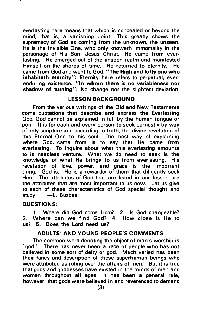everlasting here means that which is concealed or beyond the mind, that is, a vanishing point. This greatly shows the supremacy of God as coming from the unknown, the unseen. He is the Invisible One, who only knoweth immortality in the personage of His Son, Jesus Christ. He came from everlasting. He emerged out of the unseen realm and manifested<br>Himself on the shores of time. He returned to eternity. He Himself on the shores of time. He returned to eternity. came from God a nd went to God. "The High and lofty one who inhabiteth eternity": Eternity here refers to perpetual, everenduring existence. "In whom there is no variableness nor shadow of turning": No change nor the slightest deviation.

#### LESSON BACKGROUND

From the various writings of the Old and New Testaments come quotations that describe and express the Everlasting God. God cannot be explained in full by the human tongue or pen. It is for each and every person to seek earnestly by way of holy scripture and according to truth, the divine revelation of this Eternal One to his soul. The best way of explaining where God came from is to say that He came from everlasting. To inquire about what this everlasting amounts to is needless venture. What we do need to seek is the knowledge of what He brings to us from everlasting. His revelation of love, power, and grace is the important thing. God is. He is a rewarder of them that diligently seek Him. The attributes of God that are listed in our lesson are the attributes that are most important to us now. Let us give to each of these characteristics of God special thought and study.  $-$ L. Busbee  $-L$ . Busbee

#### QUESTIONS:

1. Where did God come from? 2. Is God changeable? 3. Where can we find God? 4. How close is He to us? 5. Does the Lord need us?

#### ADULTS' AND YOUNG PEOPLE'S COMMENTS

The common word denoting the object of man 's worship is "god." There has never been a race of people who has not believed in some sort of deity or god. Much varied has been their fancy and description of these superhuman beings who were attributed as ruling over the affairs of men. But it is true that gods and goddesses have existed in the minds of men and women throughout all ages. It has been a general rule, however, that gods were believed in and reverenced to demand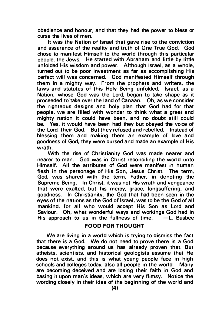obedience and honour, and that they had the power to bless or curse the lives of men.

It was the Nation of Israel that gave rise to the conviction and assurance of the reality and truth of One True God. God chose to manifest Himself to the world through this particular people, the Jews. He started with Abraham and little by little unfolded His wisdom and power. Although Israel, as a whole, turned out to be poor investment as far as accomplishing His perfect will was concerned. God manifested Himself through them in a mighty way. From the prophets and writers, the laws and statutes of this Holy Being unfolded. Israel, as a Nation, whose God was the Lord, began to take shape as it proceeded to.take over the land of Canaan. Oh, as we consider the righteous designs and holy plan that God had for that people, we are filled with wonder to think what a great and mighty nation it could have been, and no doubt still could be. Yes, it would have been had they but obeyed the voice of the Lord, their God. But they refused and rebelled. Instead of blessing them and making them an example of love and goodness of God, they were cursed and made an example of His wrath.

With the rise of Christianity God was made nearer and nearer to man. God was in Christ reconciling the world unto Himself. All the attributes of God were manifest in human flesh in the personage of His Son, Jesus Christ. The term, God, was shared with the term, Father, in denoting the Supreme Being. In Christ, it was not His wrath and vengeance that were exalted, but his mercy, grace, longsuffering, a nd goodness. In Christianity, the God that had been seen in the eyes of the nations as the God of Israel, was to be the God of all mankind, for all who would accept His Son as Lord and Saviour. Oh, what wonderful ways and workings God had in<br>His approach to us in the fullness of time. - - Busbee His approach to us in the fullness of time.

#### FOOD FOR THOUGHT

We are living in a world which is trying to dismiss the fact that there is a God. We do not need to prove there is a God because everything around us has already proven that. But atheists, scientists, and historical geologists assume that He does not exist, and this is what young people face in high schools and colleges today; also all people in the world. Many are becoming deceived and are losing their faith in God and basing it upon man's ideas, which are very flimsy. Notice the wording closely in their idea of the beginning of the world and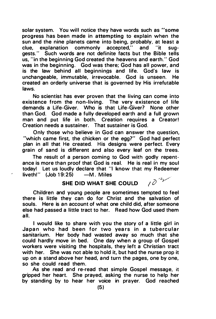solar system. You will notice they have words such as "some progress has been made in attempting to explain when the sun and the nine planets came into being, probably, at least a clue, explanation commonly accepted," and "it suggests." Such words are not definite facts but the Bible tells us, "in the beginning God created the heavens and earth." God was in the beginning. God was there; God has all power, and is the law behind all beginnings and life. God's law is unchangeable, immutable, irrevocable. God is unseen. He created an orderly universe that is governed by His irrefutable laws.

No scientist has ever proven that the living can come into existence from the non-living. The very existence of life demands a Life-Giver. Who is that Life-Giver? None other than God. God made a fully developed earth and a full grown man and put life in both. Creation requires a Creator! Creation needs a sustainer. That sustainer is God.

Only those who believe in God can answer the question, "which came first, the chicken or the egg?" God had perfect plan in all that He created. His designs were perfect. Every grain of sand is different and also every leaf on the trees.

The result of a person coming to God with godly repentance is more than proof that God is real. He is real in my soul today! Let us loudly declare that "I know that my Redeemer  $liverth!"$  (Job 19:25)  $-M$ . Miles

#### SHE DID WHAT SHE COULD

 $10^{37}$ 

Children and young people are sometimes tempted to feel there is little they can do for Christ and the salvation of souls. Here is an account of what one child did, after someone else had passed a little tract to her. Read how God used them all.

I would like to share with you the story of a little girl in Japan who had been for two years in a tubercular sanitarium. Her body had wasted away so much that she could hardly move in bed. One day when a group of Gospel workers were visiting the hospitals, they left a Christian tract with her. She was not able to hold it, but had the nurse prop it up on a stand above her head, and turn the pages, one by one, so she could read them.

As she read and re-read that simple Gospel message, it gripped her heart. She prayed, asking the nurse to help her by standing by to hear her voice in prayer. God reached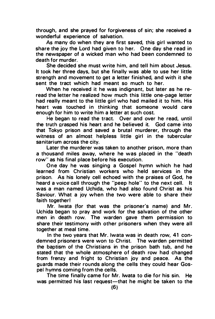through, and she prayed for forgiveness of sin; she received a wonderful experience of salvation.

As many do when they are first saved, this girl wanted to share the joy the Lord had given to her. One day she read in the newspaper of a wicked man who had been condemned to death for murder.

She decided she must write him, and tell him about Jesus. It took her three days, but she finally was able to use her little strength and movement to get a letter finished, and with it she sent the tract which had meant so much to her.

When he received it he was indignant, but later as he reread the letter he realized how much this little one-page letter had really meant to the little girl who had mailed it to him. His heart was touched in thinking that someone would care enough for him to write him a letter at such cost.

He began to read the tract. Over and over he read, until the truth grasped his heart and he believed it. God came into that Tokyo prison and saved a brutal murderer, through the witness of an almost helpless little girl in the tubercular sanitarium across the city.

Later the murderer was taken to another prison, more than a thousand miles away, where he was placed in the "death row" as his final place before his execution.

One day he was singing a Gospel hymn which he had learned from Christian workers who held services in the prison. As his lonely cell echoed with the praises of God, he heard a voice call through the "peep hole" to the next cell. It was a man named Uchida, who had also found Christ as his Saviour. What a joy when the two were able to share their faith together!

Mr. Iwata (for that was the prisoner's name) and Mr. Uchida began to pray and work for the salvation of the other men in death row. The warden gave them permission to share their testimony with other prisoners when they were all together at meal time.

In the two years that Mr. Iwata was in death row, 41 condemned prisoners were won to Christ. The warden permitted the baptism of the Christians in the prison bath tub, and he stated that the whole atmosphere of death row had changed from frenzy and fright to Christian joy and peace. As the guards made their rounds along the cells they could hear Gospel hymns coming from the cells.

The time finally came for Mr. Iwata to die for his sin. He was permitted his last request-that he might be taken to the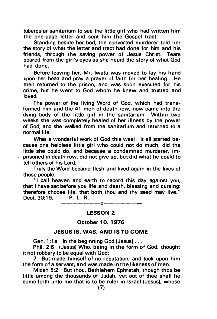tubercular sanitarium to see the little girl who had written him the one-page letter and sent him the Gospel tract.

Standing beside her bed, the converted murderer told her the story of what the letter and tract had done for him and his friends, through the saving power of Jesus Christ. Tears poured from the girl's eyes as she heard the story of what God had done.

Before leaving her, Mr. Iwata was moved to lay his hand upon her head and pray a prayer of faith for her healing. He then returned to the prison, and was soon executed for his crime, but he went to God whom he knew and trusted and loved.

The power of the living Word of God, which had transformed him and the 41 men of death row, now came into the dying body of the little girl in the sanitarium. Within two weeks she was completely healed of her illness by the power of God, and she walked from the sanitarium and returned to a normal life.

What a wonderful work of God this wasl It all started because one helpless little girl who could not do much, did the little she could do, and because a condemned murderer, imprisoned in death row, did not give up, but did what he could to tell others of his Lord.

Truly the Word became flesh and lived again in the lives of those people.

"I call heaven and earth to record this day against you, that I have set before you life and death, blessing and cursing: therefore choose life, that both thou and thy seed may live."<br>Deut.  $30:19.$  --P. L. R.  $-P. L. R.$ 

-------0-------

#### LESSON 2

#### October 10, 1976

#### JESUS IS, WAS, AND IS TO COME

Gen.  $1:1a$  In the beginning God (Jesus)...

Phil. 2:6 (Jesus) Who, being in the form of God, thought it not robbery to be equal with God:

7 But made himself of no reputation, and took upon him the form of a servant, and was made in the likeness of men.

Micah 5:2 But thou, Bethlehem Ephratah, though thou be little among the thousands of Judah, yet out of thee shall he come forth unto me that is to be ruler in Israel (Jesus); whose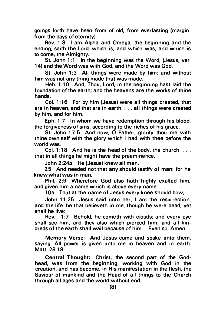goings forth have been from of old, from everlasting (margin: from the days of eternity).

Rev. 1:8 I am Alpha and Omega, the beginning and the ending, saith the Lord, which is, and which was, and which is to come, the Almighty.

St. John 1:1 In the beginning was the Word, (Jesus, ver. 14) and the Word was with God, and the Word was God.

St. John 1:3 All things were made by him; and without him was not any thing made that was made.

Heb. 1:10 And, Thou, Lord, in the beginning hast laid the foundation of the earth; and the heavens are the works of thine hands.

Col. 1:16 For by him (Jesus) were all things created, that are in heaven, and that are in earth, ... all things were created by him, and for him.

Eph. 1:7 In whom we have redemption through his blood, the forgiveness of sins, according to the riches of his grace.

St. John 17:5 And now, 0 Father, glorify thou me with thine own self with the glory which I had with thee before the world was.

Col. 1:18 And he is the head of the body, the church:  $\dots$ that in all things he might have the preeminence.

John 2:24b He (Jesus) knew all men.

25 And needed not that any should testify of man: for he knew what was in man.

Phil. 2:9 Wherefore God also hath highly exalted him, and given him a name which is above every name:

10a That at the name of Jesus every knee should bow...

John 11:25 Jesus said unto her, I am the resurrection, and the life: he that believeth in me, though he were dead, yet shall he live:

Rev. 1:7 Behold, he cometh with clouds; and every eye shall see him, and they also which pierced him: and all kindreds of the earth shall wail because of him. Even so, Amen.

Memory Verse: And Jesus came and spake unto them, saying, All power is given unto me in heaven and in earth. Matt. 28:18.

Central Thought: Christ, the second part of the Godhead, was from the beginning, working with God in the creation, and has become, in His manifestation in the flesh, the Saviour of mankind and the Head of all things to the Church through all ages and the world without end.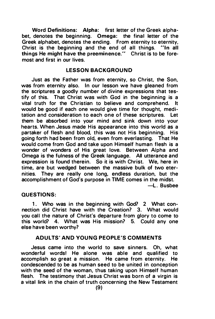Word Definitions: Alpha: first letter of the Greek alphabet, denotes the beginning. Omega: the final letter of the Greek alphabet, denotes the ending. From eternity to eternity, Christ is the beginning and the end of all things. "In all things He might have the preeminence." Christ is to be foremost and first in our lives.

#### LESSON BACKGROUND

Just as the Father was from eternity, so Christ, the Son, was from eternity also. In our lesson we have gleaned from the scriptures a goodly number of divine expressions that testify of this. That Christ was with God in the beginning is a vital truth for the Christian to believe and comprehend. It would be good if each one would give time for thought, meditation and consideration to each one of these scriptures. Let them be absorbed into your mind and sink down into your hearts. When Jesus made His appearance into this world as a partaker of flesh and blood, this was not His beginning. His going forth had been from old, even from everlasting. That He would come from God and take upon Himself human flesh is a wonder of wonders of His great love. Between Alpha and Omega is the fulness of the Greek language. All utterance and expression is found therein. So it is with Christ. We, here in time, are but wedged between the massive bulk of two eternities. They are really one long, endless duration, but the accomplishment of God's purpose in TIME comes in the midst.

-L . Busbee

#### QUESTIONS:

1. Who was in the beginning with God? 2 What connection did Christ have with the Creation? 3. What would you call the nature of Christ's departure from glory to come to this world? 4. What was His mission? 5. Could any one else have been worthy?

#### ADULTS' AND YOUNG PEOPLE'S COMMENTS

Jesus came into the world to save sinners. Oh, what wonderful words! He alone was able and qualified to accomplish so great a mission. He came from eternity. He condescended to be as human seed to be united in conception with the seed of the woman, thus taking upon Himself human flesh. The testimony that Jesus Christ was born of a virgin is a vital link in the chain of truth concerning the New Testament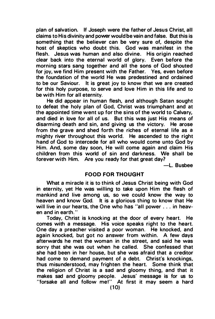plan of salvation. If Joseph were the father of Jesus Christ, all claims to His divinity and power would be vain and false. But this is something that the believer can be very sure of, despite the host of skeptics who doubt this. God was manifest in the flesh. Jesus was human and also divine. His origin reached clear back into the eternal world of glory. Even before the morning stars sang together and all the sons of God shouted for joy, we find Him present with the Father. Yes, even before the foundation of the world He was predestined and ordained to be our Saviour. It is great joy to know that we are created for this holy purpose, to serve and love Him in this life and to be with Him for all eternity.

He did appear in human flesh, and although Satan sought to defeat the holy plan of God, Christ was triumphant and at the appointed time went up for the sins of the world to Calvary, and died in love for all of us. But this was just His means of disarming death and sin, and giving us the victory. He arose from the grave and shed forth the riches of eternal life as a mighty river throughout this world. He ascended to the right hand of God to intercede for all who would come unto God by Him. And, some day soon, He will come again and claim His children from this world of sin and darkness. We shall be forever with Him. Are you ready for that great day?

-L. Busbee

#### FOOD FOR THOUGHT

What a miracle it is to think of Jesus Christ being with God in eternity, yet He was willing to take upon Him the flesh of mankind and live among us, so we could know the way to heaven and know God. It is a glorious thing to know that He will live in our hearts, the One who has "all power  $\dots$  in heaven and in earth."

Today, Christ is knocking at the door of every heart. He comes with a message. His voice speaks right to the heart. One day a preacher visited a poor woman. He knocked, and again knocked, but got no answer from within. A few days afterwards he met the woman in the street, and said he was sorry that she was out when he called. She confessed that she had been in her house, but she was afraid that a creditor had come to demand payment of a debt. Christ's knockings, thus misunderstood, may frighten the heart. Some think that the religion of Christ is a sad and gloomy thing, and that it makes sad and gloomy people. Jesus' message is for us to "forsake all and follow mel" At first it may seem a hard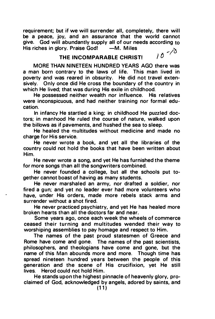requirement; but if we will surrender all, completely, there will be a peace, joy, and an assurance that the world cannot give. God will abundantly supply all of our needs according to His riches in glory. Praise God! – M. Miles His riches in glory. Praise God!  $10^{-70}$ 

#### THE INCOMPARABLE CHRIST!

MORE THAN NINETEEN HUNDRED YEARS AGO there was a man born contrary to the laws of life. This man lived in poverty and was reared in obsurity. He did not travel extensively. Only once did He cross the boundary of the country in which He lived; that was during His exile in childhood.

He possessed neither wealth nor influence. His relatives were inconspicuous, and had neither training nor formal education.

In infancy He startled a king; in childhood He puzzled doctors; in manhood He ruled the course of nature, walked upon the billows as if pavements, and hushed the sea to sleep.

He healed the multitudes without medicine and made no charge for His service.

He never wrote a book, and yet all the libraries of the country could not hold the books that have been written about Him.

He never wrote a song, and yet He has furnished the theme for more songs than all the songwriters combined.

He never founded a college, but all the schools put together cannot boast of having as many students.

He never marshaled an army, nor drafted a soldier, nor fired a gun; and yet no leader ever had more volunteers who have, under His orders, made more rebels stack arms and surrender without a shot fired.

He never practiced psychiatry, and yet He has healed more broken hearts than all the doctors far and near.

Some years ago, once each week the wheels of commerce ceased their turning and multitudes wended their way to worshiping assemblies to pay homage and respect to Him.

The names of the past proud statesmen of Greece and Rome have come and gone. The names of the past scientists, philosophers, and theologians have come and gone, but the name of this Man abounds more and more. Though time has spread nineteen hundred years between the people of this generation and the scene of His crucifixion, yet He still lives. Herod could not hold Him.

He stands upon the highest pinnacle of heavenly glory, proclaimed of God, acknowledged by angels, adored by saints, and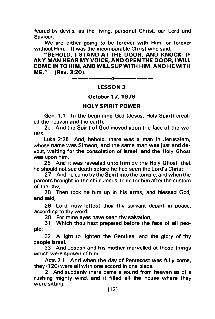feared by devils, as the living, personal Christ, our Lord and Saviour.

We are either going to be forever with Him, or forever without Him. It was the incomparable Christ who said:

''BEHOLD, I STAND AT THE DOOR, AND KNOCK: IF ANY MAN HEAR MY VOICE, AND OPEN THE DOOR, I WILL COME IN TO HIM, AND WILL SUP WITH HIM, AND HE WITH ME." (Rev. 3:20).

-------0-------

#### LESSON 3

#### October 17, 1976

#### HOLY SPIRIT POWER

Gen. 1:1 In the beginning God (Jesus, Holy Spirit) created the heaven and the earth.

2b And the Spirit of God moved upon the face of the wa· ters.

Luke 2:25 And, behold, there was a man in Jerusalem, whose name was Simeon; and the same man was just and de· vout, waiting for the consolation of Israel: and the Holy Ghost was upon him.

26 And it was revealed unto him by the Holy Ghost, that he should not see death before he had seen the Lord's Christ.

27 And he came by the Spirit into the temple: and when the parents brought in the child Jesus, to do for him after the custom of the law,

28 Then took he him up in his arms, and blessed God, and said,

29 Lord, now lettest thou thy servant depart in peace, according to thy word:

30 For mine eyes have seen thy salvation,

31 Which thou hast prepared before the face of all peo· pie;

32 A light to lighten the Gentiles, and the glory of thy people Israel.

33 And Joseph and his mother marvelled at those things which were spoken of him.

Acts 2:1 And when the day of Pentecost was fully come. they (1 20) were all with one accord in one place.

2 And suddenly there came a sound from heaven as of a rushing mighty wind, and it filled all the house where they were sitting.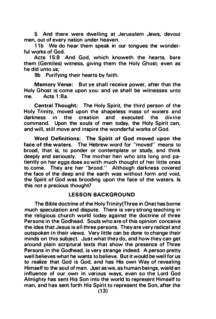5 And there were dwelling at Jerusalem Jews, devout men, out of every nation under heaven.

11b We do hear them speak in our tongues the wonderful works of God.

Acts 15:8 And God, which knoweth the hearts, bare them (Gentiles) witness, giving them the Holy Ghost; even as he did unto us;

9b Purifying their hearts by faith.

Memory Verse: But ye shall receive power, after that the Holy Ghost is come upon you: and ye shall be witnesses unto me. Acts 1:8a.

Central Thought: The Holy Spirit, the third person of the Holy Trinity, moved upon the shapeless mass of waters and darkness in the creation and executed the divine command. Upon the souls of men today, the Holy Spirit can, and will, still move and inspire the wonderful works of God.

Word Definitions: The Spirit of God moved upon the face of the waters. The Hebrew word for "moved" means to brood, that is, to ponder or contemplate or study, and think deeply and seriously. The mother hen who sits long and patiently on her eggs does so with much thought of her little ones to come. They are her "brood." Although darkness covered the face of the deep and the earth was without form and void, the Spirit of God was brooding upon the face of the waters. Is this not a precious thought?

#### LESSON BACKGROUND

The Bible doctrine of the Holy Trinity (Three in One) has borne much speculation and dispute. There is very strong teaching in the religious church world today against the doctrine of three Persons in the Godhead. Souls who are of this opinion conceive the idea that Jesus is all three persons. They are very radical and outspoken in their views. Very little can be done to change their minds on this subject. Just what they do, and how they can get around plain scriptural texts that show the presence of Three Persons in the Godhead, is very strange indeed. A person pretty well believes what he wants to believe. But it would be well for us to realize that God is God, and has His own Way of revealing Himself to the soul of man. Just as we, as human beings, wield an influence of our own in various ways, even so the Lord God Almighty has sent His Son into the world to represent Himself to man, and has sent forth His Spirit to represent the Son, after the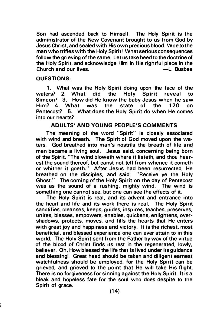Son had ascended back to Himself. The Holy Spirit is the administrator of the New Covenant brought to us from God by Jesus Christ, and sealed with His own precious blood. Woe to the man who trifles with the Holy Spirit! What serious consequences follow the grieving of the same. Let us take heed to the doctrine of the Holy Spirit, and acknowledge Him in His rightful place in the<br>Church and our lives.<br>— L. Busbee Church and our lives.

#### QUESTIONS:

1. What was the Holy Spirit doing upon the face of the waters? 2. What did the Holy Spirit reveal to Simeon? 3. How did He know the baby Jesus when he saw Him? 4. What was the state of the 120 on Pentecost? 5. What does the Holy Spirit do when He comes into our hearts?

#### ADULTS' AND YOUNG PEOPLE'S COMMENTS

The meaning of the word "Spirit" is closely associated with wind and breath. The Spirit of God moved upon the waters. God breathed into man's nostrils the breath of life and man became a living soul. Jesus said, concerning being born of the Spirit, "The wind bloweth where it listeth, and thou hearest the sound thereof, but canst not tell from whence it cometh or whither it goeth." After Jesus had been resurrected, He breathed on the disciples, and said: "Receive ye the Holy Ghost.' ' The coming of the Holy Spirit on the day of Pentecost was as the sound of a rushing, mighty wind. The wind is something one cannot see, but one can see the effects of it.

The Holy Spirit is real, and its advent and entrance into the heart and life and its work there is real. The Holy Spirit sanctifies, cleanses, keeps, quides, inspires, teaches, preserves, unites, blesses, empowers, enables, quickens, enlightens, overshadows, protects, moves, and fills the hearts that He enters with great joy and happiness and victory. It is the richest, most beneficial, and blessed experience one can ever attain to in this world. The Holy Spirit sent from the Father by way of the virtue of the blood of Christ finds its rest in the regenerated, lowly, believer. Oh, How blessed the life that is lived under Its guidance and blessing! Great heed should be taken and diligent earnest watchfulness should be employed, for the Holy Spirit can be grieved, and grieved to the point that He will take His flight. There is no forgiveness for sinning against the Holy Spirit. It is a bleak and hopeless fate for the soul who does despite to the Spirit of grace.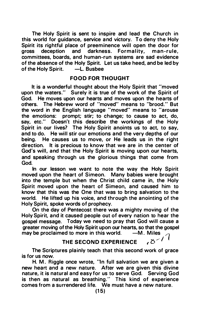The Holy Spirit is sent to inspire and lead the Church in this world for guidance, service a nd victory. To deny the Holy Spirit its rightful place of preeminence will open the door for<br>gross adeception and darkness. Formality, man-rule, and darkness. Formality, committees, boards, and human-run systems are sad evidence of the absence of the Holy Spirit. Let us take heed, and be led by of the Holy Spirit.  $\qquad -L$ . Busbee of the Holy Spirit.

#### FOOD FOR THOUGHT

It is a wonderful thought about the Holy Spirit that "moved upon the waters." Surely it is true of the work of the Spirit of God. He moves upon our hearts and moves upon the hearts of others. The Hebrew word of "moved" means to "brood." But the word in the English language "moved" means to "arouse the emotions: prompt; stir; to change; to cause to act, do, say, etc." Doesn't this describe the workings of the Holy Spirit in our lives? The Holy Spirit anoints us to act, to say, and to do. He will stir our emotions and the very depths of our being. He causes us to move, or He leads us in the right direction. It is precious to know that we are in the center of God's will, and that the Holy Spirit is moving upon our hearts, and speaking through us the glorious things that come from God.

In our lesson we want to note the way the Holy Spirit moved upon the heart of Simeon. Many babies were brought into the temple but when the Christ child came in, the Holy Spirit moved upon the heart of Simeon, and caused him to know that this was the One that was to bring salvation to the world. He lifted up his voice, and through the anointing of the Holy Spirit, spoke words of prophecy.

On the day of Pentecost there was a mighty moving of the Holy Spirit, and it caused people out of every nation to hear the gospel message. Today we need to pray that God will cause a greater moving of the Holy Spirit upon our hearts, so that the gospel may be proclaimed to more in this world.  $-$ M. Miles may be proclaimed to more in this world.  $-M$ . Miles<br>THE SECOND EXPEDIENCE  $\times$ 

#### THE SECOND EXPERIENCE

The Scriptures plainly teach that this second work of grace is for us now.

H. M. Riggle once wrote, "In full salvation we are given a new heart and a new nature. After we are given this divine nature, it is natural and easy for us to serve God. Serving God is then as natural as breathing." This kind of experience comes from a surrendered life. We must have a new nature.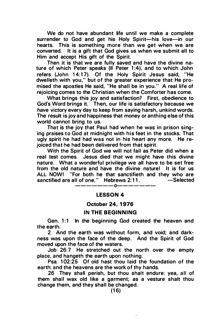We do not have abundant life until we make a complete surrender to God and get his Holy Spirit-his love-in our hearts. This is something more than we get when we are converted. It is a gift that God gives us when we submit all to Him and accept His gift of the Spirit.

Then it is that we are fully saved and have the divine nature of which Peter speaks (II Peter 1 :4), and to which John refers (John 14:17). Of the Holy Spirit Jesus said. "He dwelleth with you," but of the greater experience that He promised the apostles He said, "He shall be in you." A real life of rejoicing comes to the Christian when the Comforter has come.

What brings this joy and satisfaction? First, obedience to God's Word brings it. Then, our life is satisfactory because we have victory every day to keep from saying harsh, unkind words. The result is joy and happiness that money or anthing else of this world cannot bring to us.

That is the joy that Paul had when he was in prison singing praises to God at midnight with his feet in the stocks. That ugly spirit he had had was not in his heart any more. He rejoiced that he had been delivered from that spirit.

With the Spirit of God we will not fail as Peter did when a real test comes. Jesus died that we might have this divine nature. What a wonderful privilege we all have to be set free from the old nature and have the divine nature! It is for us ALL NOW! "For both he that sanctifieth and they who are sanctified are all of one." Hebrews 2:11. -------0-------

#### LESSON 4

#### October 24, 1 976 IN THE BEGINNING

Gen. 1:1 In the beginning God created the heaven and the earth.

2 And the earth was without form, and void; and darkness was upon the face of the deep. And the Spirit of God moved upon the face of the waters.

Job 26:7 He stretched out the north over the empty place, and hangeth the earth upon nothing.

Psa. 102:25 Of old hast thou laid the foundation of the earth: and the heavens are the work of thy hands.

26 They shall perish, but thou shalt endure: yea, all of them shall wax old like a garment; as a vesture shalt thou change them, and they shall be changed.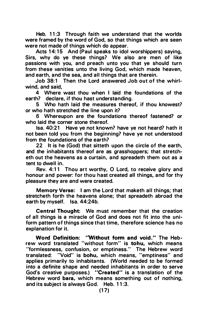Heb. 11:3 Through faith we understand that the worlds were framed by the word of God, so that things which are seen were not made of things which do appear.

Acts 14:15 And (Paul speaks to idol worshippers) saying. Sirs, why do ye these things? We also are men of like passions with you, and preach unto you that ye should turn from these vanities unto the living God, which made heaven, and earth, and the sea, and all things that are therein.

Job 38:1 Then the Lord answered Job out of the whirlwind, and said,

4 Where wast thou when I laid the foundations of the earth? declare, if thou hast understanding.

5 Who hath laid the measures thereof, if thou knowest? or who hath stretched the line upon it?

6 Whereupon are the foundations thereof fastened? or who laid the corner stone thereof.

lsa. 40:21 Have ye not known? have ye not heard? hath it not been told you from the beginning? have ye not understood from the foundations of the earth?

22 It is he (God) that sitteth upon the circle of the earth, and the inhabitants thereof are as grasshoppers; that stretcheth out the heavens as a curtain, and spreadeth them out as a tent to dwell in.

Rev. 4:11 Thou art worthy, 0 Lord, to receive glory and honour and power: for thou hast created all things, and for thy pleasure they are and were created.

Memory Verse: I am the Lord that maketh all things; that stretcheth forth the heavens alone; that spreadeth abroad the earth by myself. lsa. 44:24b.

Central Thought: We must remember that the creation of all things is a miracle of God and does not fit into the uniform pattern of things since that time, therefore science has no explanation for it.

Word Definition: 'Without form and void.'' The Hebrew word translated "without form" is tohu, which means "formlessness, confusion, or emptiness." The Hebrew word translated: "Void" is bohu, which means, "emptiness" and applies primarily to inhabitants. (World needed to be formed into a definite shape and needed inhabitants in order to serve God's creative purposes.} "Created" is a translation of the Hebrew word bara, which means something out of nothing, and its subject is always God. Heb. 11:3.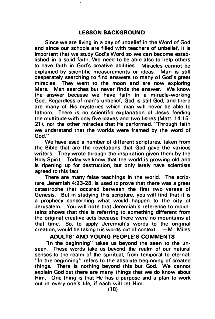#### LESSON BACKGROUND

Since we are living in a dav of unbelief in the Word of God and since our schools are filled with teachers of unbelief, it is important that we study God's Word so we can become established in a solid faith. We need to be able also to help others to have faith in God's creative abilities. Miracles cannot be explained by scientific measurements or ideas. Man is still desperately searching to find answers to many of God's great miracles. They went to the moon and are now exploring Mars. Man searches but never finds the answer. We know the answer because we have faith in a miracle-working God. Regardless of man 's unbelief, God is still God, and there are many of His mysteries which man will never be able to fathom. There is no scientific explanation of Jesus feeding There is no scientific explanation of Jesus feeding the multitude with only five loaves and two fishes (Matt. 14:15-21 ), nor the other miracles that He performed. "Through faith we understand that the worlds were framed by the word of God."

We have used a number of different scriptures, taken from the Bible that are the revelations that God gave the various writers. They wrote through the inspiration given them by the Holy Spirit. Today we know that the world is growing old and is ripening up for destruction, but only lately have scientists agreed to this fact.

There are many false teachings in the world. The scripture, Jeremiah 4:23-28, is used to prove that there was a great catastrophe that occured between the first two verses of Genesis. But in studying this scripture, you will find that it is a prophecy concerning what would happen to the city of Jerusalem. You will note that Jeremiah's reference to mountains shows that this is referring to something different from the original creative acts because there were no mountains at that time. So, to apply Jeremiah's words to the original creation, would be taking his words out of context.  $-M$ . Miles

#### ADULTS' AND YOUNG PEOPLE'S COMMENTS

"In the beginning" takes us beyond the seen to the unseen. These words take us beyond the realm of our natural senses to the realm of the spiritual; from temporal to eternal. "In the beginning" refers to the absolute beginning of created things. There is nothing beyond this but God. We cannot explain God but there are many things that we do know about Him. One thing is that He has a purpose and a plan to work out in every one's life, if each will let Him.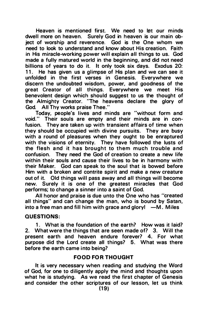Heaven is mentioned first. We need to let our minds dwell more on heaven. Surely God in heaven is our main object of worship and reverence. God is the One whom we need to look to understand and know about His creation. Faith in His miracle-working power will explain all things to us. God made a fully matured world in the beginning, and did not need billions of years to do it. It only took six days. Exodus 20: 11. He has given us a glimpse of His plan and we can see it unfolded in the first verses in Genesis. Everywhere we discern the undoubted wisdom, power, and goodness of the great Creator of all things. Everywhere we meet His benevolent qesign which should suggest to us the thought of the Almighty Creator. "The heavens declare the glory of God. All Thy works praise Thee."

Today, people's lives and minds are "without form and void." Their souls are empty and their minds are in confusion. They are taken up with transient affairs of time when they should be occupied with divine pursuits. They are busy with a round of pleasures when they ought to be enraptured with the visions of eternity. They have followed the lusts of the flesh and it has brought to them much trouble and confusion. They need the God of creation to create a new life within their souls and cause their lives to be in harmony with their Maker. God can speak to the soul that is bowed before Him with a broken and contrite spirit and make a new creature out of it. Old things will pass away and all things will become new. Surely it is one of the greatest miracles that God performs; to change a sinner into a saint of God.

All honor and praise is due unto the One who has "created all things" and can change the man, who is bound by Satan, into a free man and fill him with grace and glory!  $-M$ . Miles

#### QUESTIONS:

1. What is the foundation of the earth? How was it laid? 2. What were the things that are seen made of? 3. Will the present earth and heaven endure forever? 4. For what purpose did the Lord create all things? 5. What was there before the earth came into being?

#### FOOD FOR THOUGHT

It is very necessary when reading and studying the Word of God, for one to diligently apply the mind and thoughts upon what he is studying. As we read the first chapter of Genesis and consider the other scriptures of our lesson, let us think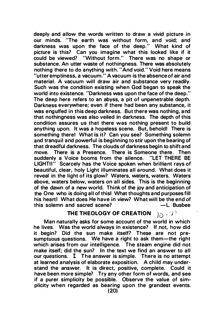deeply and allow the words written to draw a vivid picture in our minds. "The earth was without form, and void; and darkness was upon the face of the deep." What kind of picture is this? Can you imagine what this looked like if it could be viewed? "Without form." There was no shape or substance. An utter waste of nothingness. There was absolutely nothing there to do anything with. "And void." Void here means "utter emptiness, a vacuum." A vacuum is the absence of air and material. A vacuum will draw air and substance very readily. Such was the condition existing when God began to speak the world into existence. "Darkness was upon the face of the deep." The deep here refers to an abyss, a pit of unpenetrable depth. Darkness everywhere; even if there had been any substance, it was engulfed in this deep darkness. But there was nothing, and that nothingness was also veiled in darkness. The depth of this condition assures us that there was nothing present to build anything upon. It was a hopeless scene. But, behold! There is something there! What is it? Can you see? Something solemn and tranquil and powerful is beginning to stir upon the bearing of that dreadful darkness. The clouds of darkness begin to shift and move. There is a Presence. There is Someone there. Then<br>suddenly a Voice booms from the silence. "LET THERE BE suddenly a Voice booms from the silence. LIGHTII" Scarcely has the Voice spoken when brilliant rays of beautiful, clear, holy Light illuminates all around. What does it reveal in the light of its glow? Waters, waters, waters. Waters above, waters below, waters on all sides. This is the beginning of the dawn of a new world. Think of the joy and anticipation of the One who is doing all of this I What thoughts and purposes fill his heart! What does He have in view? What will be the end of<br>this solemn and sacred scene? – – Busbee this solemn and sacred scene?

## THE THEOLOGY OF CREATION  $\cup$   $\cap$   $\vee$   $\emptyset$

Man naturally asks for some account of the world in which he lives. Was the world always in existence? If not, how did it begin? Did the sun make itself? These are not presumptuous questions. We have a right to ask them-the right which arises from our intelligence. The steam engine did not make itself; did the sun? In the text we find an answer to all our questions. I The answer is simple. There is no attempt at learned analysis of elaborate exposition. A child may understand the answer. It is direct, positive, complete. Could it have been more simple? Try any other form of words, and see if a purer simplicity be possible. Observe the value of simplicity when regarded as bearing upon the grandest events.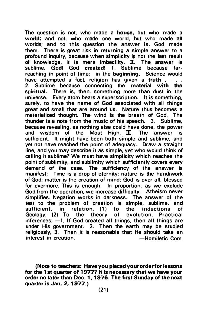The question is not, who made a house, but who made a world; and not, who made one world, but who made all worlds; and to this question the answer is, God made them. There is great risk in returning a simple answer to a profound inquiry, because when simplicity is not the last result of knowledge, it is mere imbecility. II. The answer is sublime. God! God created! 1. Sublime because farreaching in point of time: in the beginning. Science would have attempted a fact, religion has given a truth . . . .<br>2. Sublime because connecting the material with the Sublime because connecting the material with the spiritual. There is, then, something more than dust in the universe. Every atom bears a superscription. It is something, surely, to have the name of God associated with all things great and small that are around us. Nature thus becomes a materialized thought. The wind is the breath of God. The thunder is a note from the music of his speech. 3. Sublime, because revealing, as nothing else could have done, the power<br>and wisdom of the Most High. III. The answer is and wisdom of the Most High.  $\overline{\mathbf{m}}$ . sufficient. It might have been both simple and sublime, and yet not have reached the point of adequacy. Draw a straight line, and you may describe it as simple, yet who would think of calling it sublime? We must have simplicity which reaches the point of sublimity, and sublimity which sufficiently covers every<br>demand of the case. The sufficiency of the answer is demand of the case. The sufficiency of the answer manifest: Time is a drop of eternity; nature is the handiwork of God; matter is the creation of mind; God is over all, blessed for evermore. This is enough. In proportion, as we exclude God from the operation, we increase difficulty. Atheism never simplifies. Negation works in darkness. The answer of the test to the problem of creation is simple, sublime, and sufficient, in relation. (1) to the inductions of<br>Geology. (2) To the theory of evolution. Practical evolution. Practical inferences:  $-1$ , If God created all things, then all things are under His government. 2. Then the earth may be studied religiously, 3. Then it is reasonable that He should take an interest in creation. The example of the Homiletic Com.

(Note to teachers: Have you placed your order for lessons for the 1st quarter of 1977? It is necessary that we have your order no later than Dec. 1, 1976. The first Sunday of the next quarter is Jan. 2, 1977.)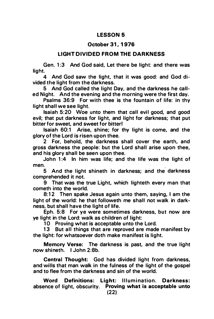#### LESSON 5

#### October 31 , 1 976

#### LIGHT DIVIDED FROM THE DARKNESS

Gen. 1:3 And God said, Let there be light: and there was light.

4 And God saw the light, that it was good: and God divided the light from the darkness.

5 And God called the light Day, and the darkness he called Night. And the evening and the morning were the first day.

Psalms 36:9 For with thee is the fountain of life: in thy light shall we see light.

Isaiah 5:20 Woe unto them that call evil good, and good evil; that put darkness for light, and light for darkness; that put bitter for sweet, and sweet for bitter!

Isaiah 60:1 Arise, shine; for thy light is come, and the glory of the Lord is risen upon thee.

2 For, behold, the darkness shall cover the earth, and gross darkness the people: but the Lord shall arise upon thee, and his glory shall be seen upon thee.

John 1:4 In him was life; and the life was the light of men.

5 And the light shineth in darkness; and the darkness comprehended it not.

9 That was the true Light, which lighteth every man that cometh into the world.

8:12 Then spake Jesus again unto them, saying, I am the light of the world: he that followeth me shall not walk in darkness, but shall have the light of life.

Eph. 5:8 For ye were sometimes darkness, but now are ye light in the Lord: walk as children of light:

10 Proving what is acceptable unto the Lord.

13 But all things that are reproved are made manifest by the light: for whatsoever doth make manifest is light.

Memory Verse: The darkness is past, and the true light now shineth. I John 2:8b.

Central Thought: God has divided light from darkness, and wills that man walk in the fulness of the light of the gospel and to flee from the darkness and sin of the world.

Word Definitions: Light: Illumination. Darkness: absence of light, obscurity. Proving what is acceptable unto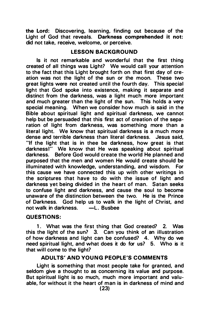the Lord: Discovering, learning, finding out because of the Light of God that reveals. Darkness comprehended it not: did not take, receive, welcome, or perceive.

#### LESSON BACKGROUND

Is it not remarkable and wonderful that the first thing created of all things was Light? We would call your attention to the fact that this Light brought forth on that first day of creation was not the light of the sun or the moon. These two great lights were not created until the fourth day. This special light that God spoke into existence, making it separate and distinct from the darkness, was a light much more important and much greater than the light of the sun. This holds a very special meaning. When we consider how much is said in the Bible about spiritual light and spiritual darkness, we cannot help but be persuaded that this first act of creation of the separation of light from darkness, was something more than a literal light. We know that spiritual darkness is a much more dense and terrible darkness than literal darkness. Jesus said, "If the light that is in thee be darkness, how great is that darkness!" We know that He was speaking about spiritual darkness. Before God would create the world He planned and purposed that the men and women He would create should be illuminated with knowledge, understanding, and wisdom. For this cause we have connected this up with other writings in the scriptures that have to do with the issue of light and darkness yet being divided in the heart of man. Satan seeks to confuse light and darkness, and cause the soul to become unaware of the distinction between the two. He is the Prince of Darkness. God help us to walk in the light of Christ, and not walk in darkness.  $\leftarrow$  L. Busbee not walk in darkness.

#### QUESTIONS:

1. What was the first thing that God created? 2. Was this the light of the sun? 3. Can you think of an illustration of how darkness and light can be confused? 4. Why do we need spiritual light, and what does it do for us? 5. Who is it that will come to the light?

#### ADULTS' AND YOUNG PEOPLE'S COMMENTS

Light is something that most people take for granted, and seldom give a thought to as concerning its value and purpose. But spiritual light is so much, much more important and valuable, for without it the heart of man is in darkness of mind and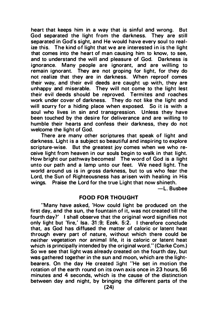heart that keeps him in a way that is sinful and wrong. But God separated the light from the darkness. They are still separated in God's sight, and He would have every soul to realize this. The kind of light that we are interested in is the light that comes into the heart of man causing him to know, to see, and to understand the will and pleasure of God. Darkness is ignorance. Many people are ignorant, and are willing to remain ignorant. They are not groping for light, for they do not realize that they are in darkness. When reproof comes their way, and their evil deeds are caught up with, they are unhappy and miserable. They will not come to the light lest their evil deeds should be reproved. Termites and roaches work under cover of darkness. They do not like the light and will scurry for a hiding place when exposed. So it is with a soul who lives in sin and transgression. Unless they have been touched by the desire for deliverance and are willing to humble their hearts and confess their darkness, they do not welcome the light of God.

There are many other scriptures that speak of light and darkness. Light is a subject so beautiful and inspiring to explore scripture-wise. But the greatest joy comes when we who receive light from heaven in our souls begin to walk in that light. How bright our pathway becomes! The word of God is a light unto our path and a lamp unto our feet. We need light. The world around us is in gross darkness, but to us who fear the Lord, the Sun of Righteousness has arisen with healing in His wings. Praise the Lord for the true Light that now shineth.

-L. Busbee

#### FOOD FOR THOUGHT

"Many have asked, 'How could light be produced on the first day, and the sun, the fountain of it, was not created till the fourth day?' I shall observe that the original word signifies not only light but 'fire,' Isa. 31:9; Ezek. 5:2. I therefore conclude that, as God has diffused the matter of caloric or latent heat through every part of nature, without which there could be neither vegetation nor animal life, it is caloric or latent heat which is principally intended by the original word." (Clarke Com.) So we see that light was already created on the fourth day, but was gathered together in the sun and moon, which are the lightbearers. On the day He created light "He set in motion the rotation of the earth round on its own axis once in 23 hours, 56 minutes and 4 seconds, which is the cause of the distinction between day and night, by bringing the different parts of the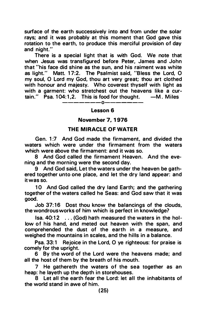surface of the earth successively into and from under the solar rays; and it was probably at this moment that God gave this rotation to the earth, to produce this merciful provision of day and night."

There is a special light that is with God. We note that when Jesus was transfigured before Peter, James and John that "his face did shine as the sun, and his raiment was white as light." Matt. 17:2. The Psalmist said, "Bless the Lord, O my soul, 0 Lord my God, thou art very great; thou art clothed with honour and majesty. Who coverest thyself with light as with a garment: who stretchest out the heavens like a curtain." Psa.  $104:1,2$ . This is food for thought.  $-M$ . Miles

-------0-------

#### Lesson 6

#### November 7, 1 976

#### THE MIRACLE OF WATER

Gen. 1 :7 And God made the firmament, and divided the waters which were under the firmament from the waters which were above the firmament: and it was so.

8 And God called the firmament Heaven. And the evening and the morning were the second day.

9 And God said, Let the waters under the heaven be gathered together unto one place, and let the dry land appear: and it was so.

10 And God called the dry land Earth; and the gathering together of the waters called he Seas: and God saw that it was good.

Job 37:16 Dost thou know the balancings of the clouds, the wondrous works of him which is perfect in knowledge?

 $Isa. 40:12...$  (God) hath measured the waters in the hollow of his hand, and meted out heaven with the span, and comprehended the dust of the earth in a measure, and weighed the mountains in scales, and the hills in a balance.

Psa. 33:1 Rejoice in the Lord, O ye righteous: for praise is comely for the upright.

6 By the word of the Lord were the heavens made; and all the host of them by the breath of his mouth.

7 He gathereth the waters of the sea together as an heap: he layeth up the depth in storehouses.

8 Let all the earth fear the Lord: let all the inhabitants of the world stand in awe of him.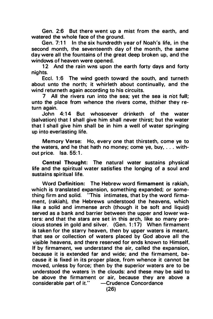Gen. 2:6 But there went up a mist from the earth, and watered the whole face of the ground.

Gen. 7: 11 In the six hundredth year of Noah's life, in the second month, the seventeenth day of the month, the same day were all the fountains of the great deep broken up, and the windows of heaven were opened.

12 And the rain was upon the earth forty days and forty nights.

Eccl. 1:6 The wind goeth toward the south, and turneth about unto the north; it whirleth about continually, and the wind returneth again according to his circuits.

7 All the rivers run into the sea; yet the sea is not full; unto the place from whence the rivers come, thither they return again.

John 4:14 But whosoever drinketh of the water (salvation) that I shall give him shall never thirst; but the water that I shall give him shall be in him a well of water springing up into everlasting life.

Memory Verse: Ho, every one that thirsteth, come ye to the waters, and he that hath no money; come ye, buy, ... without price. lsa. 55: 1 .

Central Thought: The natural water sustains physical life and the spiritual water satisfies the longing of a soul and sustains spiritual life.

Word Definition: The Hebrew word firmament is rakiah, which is translated expansion, something expanded; or something firm and solid. "This intimates, that by the word firmament, (rakiah), the Hebrews understood the heavens, which like a solid and immense arch (though it be soft and liquid) served as a bank and barrier between the upper and lower waters: and that the stars are set in this arch, like so many precious stones in gold and silver.  $(Gen. 1: 17)$  When firmament is taken for the starry heaven, then by upper waters is meant, that sea or collection of waters placed by God above all the visible heavens, and there reserved for ends known to Himself. If by firmament, we understand the air, called the expansion, because it is extended far and wide; and the firmament, because it is fixed in its proper place, from whence it cannot be moved, unless by force; then by the superior waters are to be understood the waters in the clouds: and these may be said to be above the firmament or air, because they are above a considerable part of it." - -Crudence Concordance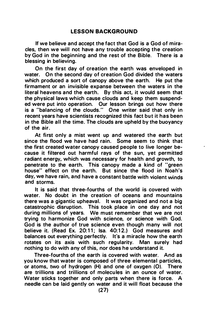#### LESSON BACKGROUND

If we believe and accept the fact that God is a God of miracles, then we will not have any trouble accepting the creation by God in the beginning and the rest of the Bible. There is a blessing in believing.

On the first day of creation the earth was enveloped in water. On the second day of creation God divided the waters which produced a sort of canopy above the earth. He put the firmament or an invisible expanse between the waters in the literal heavens and the earth. By this act, it would seem that the physical laws which cause clouds and keep them suspended were put into operation. Our lesson brings out how there is a "balancing of the clouds." One writer said that only in recent years have scientists recognized this fact but it has been in the Bible all the time. The clouds are upheld by the buoyancy of the air.

At first only a mist went up and watered the earth but since the flood we have had rain. Some seem to think that the first created water canopy caused people to live longer because it filtered out harmful rays of the sun, yet permitted radiant energy, which was necessary for health and growth, to penetrate to the earth. This canopy made a kind of "green" house" effect on the earth. But since the flood in Noah's day, we have rain, and have a constant battle with violent winds and storms.

It is said that three-fourths of the world is covered with water. No doubt in the creation of oceans and mountains there was a gigantic upheaval. It was organized and not a big catastrophic disruption. This took place in one day and not during millions of years. We must remember that we are not trying to harmonize God with science, or science with God. God is the author of true science even though many will not believe it. (Read Ex. 20:11; Isa. 40:12.) God measures and balances out everything perfectly. It's a miracle how the earth rotates on its axis with such regularity. Man surely had nothing to do with any of this, nor does he u nderstand it.

Three-fourths of the earth is covered with water. And as you know that water is composed of three elemental particles, or atoms, two of hydrogen (H) and one of oxygen (0). There are trillions and trillions of molecules in an ounce of water. Water sticks together and only parts when there is force. A needle can be laid gently on water and it will float because the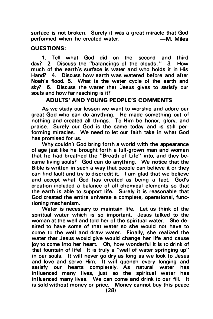surface is not broken. Surely it was a great miracle that God<br>nerformed when he created water. - M. Miles performed when he created water.

#### QUESTIONS:

1. Tell what God did on the second and third day? 2. Discuss the "balancings of the clouds." 3. How m uch of the earth's surface is water and who holds it in His Hand? 4. Discuss how earth was watered before and after Noah's flood. 5. What is the water cycle of the earth and sky? 6. Discuss the water that Jesus gives to satisfy our souls and how far reaching is it?

#### ADULTS' AND YOUNG PEOPLE'S COMMENTS

As we study our lesson we want to worship and adore our great God who can do anything. He made something out of nothing and created all things. To Him be honor. glory, and praise. Surely our God is the same today and is still performing miracles. We need to let our faith take in what God has promised for us.

Why couldn't God bring forth a world with the appearance of age just like he brought forth a full-grown man and woman that he had breathed the "Breath of Life" into, and they became living souls? God can do anything. We notice that the Bible is written in such a way that people can believe it or they can find fault and try to discredit it. I am glad that we believe and accept what God has created as being a fact. God's creation included a balance of all chemical elements so that the earth is able to support life. Surely it is reasonable that God created the entire universe a complete, operational, functioning mechanism.

Water is necessary to maintain life. Let us think of the spiritual water which is so important. Jesus talked to the woman at the well and told her of the spiritual water. She desired to have some of that water so she would not have to come to the well and draw water. Finally, she realized the water that Jesus would give would change her life and cause joy to come into her heart. Oh, how wonderful it is to drink of that fountain of life! It is truly a "well of water springing up" in our souls. It will never go dry as long as we look to Jesus and love and serve Him. It will quench every longing and satisfy our hearts completely. As natural water has influenced many Jives, just so the spiritual water has influenced many lives. We can come and drink to our fill. It is sold without money or price. Money cannot buy this peace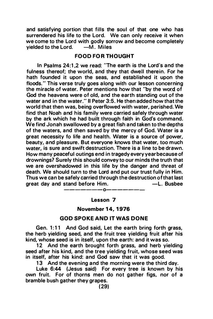and satisfying portion that fills the soul of that one who has surrendered his life to the Lord. We can only recejve it when we come to the Lord with godly sorrow and become completely  $vielded$  to the Lord.  $-M$ . Miles

#### FOOD FOR THOUGHT

In Psalms 24:1 ,2 we read: "The earth is the Lord's and the fulness thereof; the world, and they that dwell therein. For he hath founded it upon the seas, and established it upon the floods." This verse truly goes along with our lesson concerning the miracle of water. Peter mentions how that "by the word of God the heavens were of old, a nd the earth standing out of the water and in the water." II Peter 3:5. He then added how that the world that then was, being overflowed with water, perished. We find that Noah and his family were carried safely through water by the ark which he had built through faith in God's command. We find Jonah swallowed by a great fish and taken to the depths of the waters, and then saved by the mercy of God. Water is a great necessity fo life and health. Water is a source of power, beauty, and pleasure. But everyone knows that water, too much water, is sure and swift destruction. There is a line to be drawn. How many peaceful outings end in tragedy every year because of drownings? Surely this should convey to our minds the truth that we are overshadowed in this life by the danger and threat of death. We should turn to the Lord and put our trust fully in Him. Thus we can be safely carried through the destruction of that last areat day and stand before Him. The South Control and Subsection and Subsection and Subsection and American American -------0-------

# Lesson 7

#### November 14, 1976

#### GOD SPOKE AND IT WAS DONE

Gen. 1:11 And God said, Let the earth bring forth grass, the herb yielding seed, and the fruit tree yielding fruit after his kind, whose seed is in itself, upon the earth: and it was so.

12 And the earth brought forth grass, and herb yielding seed after his kind, and the tree yielding fruit, whose seed was in itself, after his kind: and God saw that it was good.

13 And the evening and the morning were the third day.

Luke 6:44 (Jesus said) For every tree is known by his own fruit. For of thorns men do not gather figs, nor of a bramble bush gather they grapes.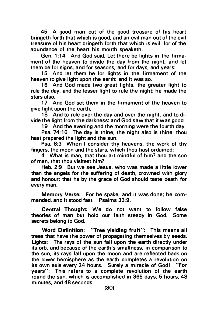45 A good man out of the good treasure of his heart bringeth forth that which is good; and an evil man out of the evil treasure of his heart bringeth forth that which is evil; for of the abundance of the heart his mouth speaketh.

Gen. 1:14 And God said. Let there be lights in the firmament of the heaven to divide the day from the night; and let them be for signs, and for seasons, and for days, and years:

15 And let them be for lights in the firmament of the heaven to give light upon the earth: and it was so.

16 And God made two great lights; the greater light to rule the day, and the lesser light to rule the night: he made the stars also.

17 And God set them in the firmament of the heaven to give light upon the earth,

18 And to rule over the day and over the night, and to divide the light from the darkness: and God saw that it was good.

19 And the evening and the morning were the fourth day.

Psa.  $74:16$  The day is thine, the night also is thine: thou hast prepared the light and the sun.

Psa. 8:3 When I consider thy heavens, the work of thy fingers, the moon and the stars, which thou hast ordained;

4 What is man, that thou art mindful of him? and the son of man, that thou visitest him?

Heb. 2:9 But we see Jesus, who was made a little lower than the angels for the suffering of death, crowned with glory and honour; that he by the grace of God should taste death for every man.

Memory Verse: For he spake, and it was done; he commanded, and it stood fast. Psalms 33:9.

Central Thought: We do not want to follow false theories of man but hold our faith steady in God. Some secrets belong to God.

Word Definition: "Tree yielding fruit": This means all trees that have the power of propagating themselves by seeds. Lights: The rays of the sun fall upon the earth directly under its orb, and because of the earth's smallness, in comparison to the sun, its rays fall upon the moon and are reflected back on the lower hemisphere as the earth completes a revolution on its own axis every 24 hours. Surely a miracle of Godl "For years": This refers to a complete revolution of the earth round the sun, which is accomplished in 365 days, 5 hours, 48 minutes, and 48 seconds.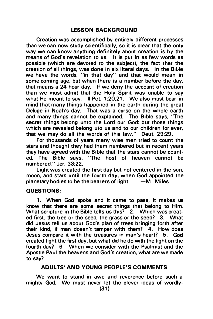#### LESSON BACKGROUND

Creation was accomplished by entirely different processes than we can now study scientifically, so it is clear that the only way we can know anything definitely about creation is by the means of God's revelation to us. It is put in as few words as possible (which are devoted to the subject), the fact that the creation of all things, was done in six literal days. In the Bible we have the words, "in that day" and that would mean in some coming age, but when there is a number before the day, that means a 24 hour day. If we deny the account of creation than we must admit that the Holy Spirit was unable to say what He meant to say. Il Pet. 1:20.21. We also must bear in mind that many things happened in the earth during the great Deluge in Noah's day. That was a curse on the whole earth and many things cannot be explained. The Bible says, "The secret things belong unto the Lord our God: but those things which are revealed belong uto us and to our children for ever, that we may do all the words of this law." Deut. 29:29.

For thousands of years many wise men tried to count the stars and thought they had them numbered but in recent years they have agreed with the Bible that the stars cannot be counted. The Bible says, "The host of heaven cannot be numbered. " Jer. 33:22.

Light was created the first day but not centered in the sun, moon, and stars until the fourth day, when God appointed the planetary bodies to be the bearers of light.  $\qquad -M$ . Miles planetary bodies to be the bearers of light.

#### QUESTIONS:

1. When God spoke and it came to pass, it makes us know that there are some secret things that belong to Him. What scripture in the Bible tells us this? 2. Which was created first, the tree or the seed, the grass or the seed? 3. What did Jesus tell us about God's plan of trees bringing forth after their kind, if man doesn't tamper with them? 4. How does Jesus compare it with the treasures in man's heart? 5. God created light the first day, but what did he do with the light on the fourth day? 6. When we consider with the Psalmist and the Apostle Paul the heavens and God's creation, what are we made to say?

#### ADULTS' AND YOUNG PEOPLE'S COMMENTS

We want to stand in awe and reverence before such a mighty God. We must never let the clever ideas of wordly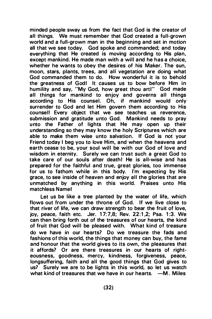minded people sway us from the fact that God is the creator of all things. We must remember that God created a full-grown world and a full-grown man in the beginning and set in motion all that we see today. God spoke and commanded; and today everything that He created is moving according to His plan, except mankind. He made man with a will and he has a choice. whether he wants to obey the desires of his Maker. The sun, moon, stars, plants, trees, and all vegetation are doing what God commanded them to do. How wonderful it is to behold the greatness of Godl It causes us to bow before Him in humility and say, "My God, how great thou artl" God made all things for mankind to enjoy and governs all things according to His counsel. Oh, if mankind would only surrender to God and let Him govern them according to His counsel! Every object that we see teaches us reverence, submission and gratitude unto God. Mankind needs to pray unto the Father of lights that He may open up their understanding so they may know the holy Scriptures which are able to make them wise unto salvation. If God is not your Friend today I beg you to love Him, and when the heavens and earth cease to be, your soul will be with our God of love and wisdom in eternity. Surely we can trust such a great God to take care of our souls after death! He is all-wise and has prepared for the faithful and true, great glories, too immense for us to fathom while in this body. I'm expecting by His grace, to see inside of heaven and enjoy all the glories that are unmatched by anything in this world. Praises unto His matchless Namel

Let us be like a tree planted by the water of life, which flows out from under the throne of God. If we live close to that river of life, we can draw strength to bear the fruit of love, joy, peace, faith etc. Jer. 17:7,8; Rev. 22:1,2; Psa. 1:3. We can then bring forth out of the treasures of our hearts, the kind of fruit that God will be pleased with. What kind of treasure do we have in our hearts? Do we treasure the fads and fashions of this world, the things that money can buy, the fame and honour that the world gives to its own, the pleasures that it affords? Or are there treasures in our hearts of righteousness, goodness, mercy, kindness, forgiveness, peace, longsuffering, faith and all the good things that God gives to us? Surely we are to be lights in this world, so let us watch what kind of treasures that we have in our hearts.  $-M$ . Miles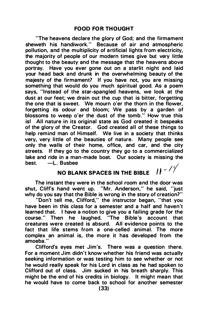"The heavens declare the glory of God; and the firmament sheweth his handiwork." Because of air and atmospheric pollution, and the multiplicity of a rtificial lights from electricity, the majority of people of our modern times give but very little thought to the beauty and the message that the heavens above portray. Have you ever gone out on a starlit night and laid your head back and drunk in the overwhelming beauty of the majesty of the firmament? If you have not, you are missing something that would do you much spiritual good. As a poem says, "Instead of the star-spangled heavens, we look at the dust at our feet; we drain out the cup that is bitter, forgetting the one that is sweet. We mourn o'er the thorn in the flower, forgetting its odour and bloom; We pass by a garden of blossoms to weep o'er the dust of the tomb." How true this is! All nature in its original state as God created it bespeaks of the glory of the Creator. God created all of these things to help remind man of Himself. We live in a society that thinks very, very little of the beauties of nature. Many people see only the walls of their home, office, and car, and the city streets. If they go to the country they go to a commercialized lake and ride in a man-made boat. Our society is missing the least  $-L.$  Busbee  $H - 14$ 

# NO BLANK SPACES IN THE BIBLE

The instant they were in the school room and the door was shut, Cliff's hand went up. "Mr. Anderson," he said, "just why do you say that the Bible is wrong in the story of creation?"

"Don't tell me, Clifford," the instructor began, "that you have been in this class for a semester and a half and haven't learned that. I have a notion to give you a failing grade for the course." Then he laughed. "The Bible's account that creatures were created is absurd. All evidence points to the fact that life stems from a one-celled animal. The more complex an animal is, the more it has developed from the amoeba."

Clifford's eyes met Jim's. There was a question there. For a moment Jim didn't know whether his friend was actually seeking information or was testing him to see whether or not he would really speak for his Lord in class as he had spoken to Clifford out of class. Jim sucked in his breath sharply. This might be the end of his credits in biology. It might mean that he would have to come back to school for another semester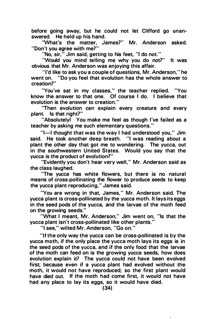before going away, but he could not let Clifford go unanswered. He held up his hand.

'What's the matter, James?" Mr. Anderson asked. "Don't you agree with me?"

"No, sir," Jim said, getting to his feet, "I do not. "

"Would you mind telling me why you do not?" It was obvious that Mr. Anderson was enjoying this affair.

''I'd like to ask you a couple of questions, Mr. Anderson, " he went on. "Do you feel that evolution has the whole answer to creation?"

"You've sat in my classes," the teacher replied. "You know the answer to that one. Of course I do. I believe that evolution is the answer to creation."

"Then evolution can explain every creature and every plant. Is that right?"

"Absolutely! You make me feel as though I've failed as a teacher by asking me such elementary questions."

"I-I thought that was the way I had understood you," Jim said. He took another deep breath. "I was reading about a plant the other day that got me to wondering. The yucca, out in the southwestern United States. Would you say that the yucca is the product of evolution?"

"Evidently you don't hear very well," Mr. Anderson said as the class laughed.

"The yucca has white flowers, but there is no natural means of cross-pollinating the flower to produce seeds to keep the yucca plant reproducing," James said.

"You are wrong in that, James," Mr. Anderson said. The yucca plant is cross-pollinated by the yucca moth. It lays its eggs in the seed pods of the yucca, and the larvae of the moth feed on the growing seeds."

"What I meant, Mr. Anderson," Jim went on, "Is that the yucca plant isn't cross-pollinated like other plants."

"I see," wilted Mr. Anderson, "Go on."

"If the only way the yucca can be cross-pollinated is by the yucca moth, if the only place the yucca moth lays its eggs is in the seed pods of the yucca, and if the only food that the larvae of the moth can feed on is the growing yucca seeds, how does evolution explain it? The yucca could not have been evolved first; because even if a yucca plant had evolved without the moth, it would not have reproduced; so the first plant would have died out. If the moth had come first, it would not have had any place to lay its eggs, so it would have died.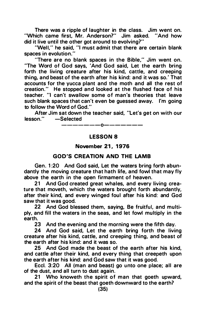There was a ripple of laughter in the class. Jim went on. "Which came first, Mr. Anderson?" Jim asked. "And how did it live until the other got around to evolving?"

"Well," he said, "I must admit that there are certain blank spaces in evolution."

"There are no blank spaces in the Bible," Jim went on. ''The Word of God says, 'And God said, Let the earth bring forth the living creature after his kind, cattle, and creeping thing, and beast of the earth after his kind: and it was so.' That accounts for the yucca plant and the moth and all the rest of creation." He stopped and looked at the flushed face of his teacher. "I can't swallow some of man's theories that leave such blank spaces that can't even be quessed away. I'm going to follow the Word of God."

After Jim sat down the teacher said, "Let's get on with our lesson." —Selected  $-$ Selected

 $-$ - $-$ 

#### LESSON 8

#### November 21, 1976

#### GOD'S CREATION AND THE LAMB

Gen. 1:20 And God said, Let the waters bring forth abundantly the moving creature that hath life, and fowl that may fly above the earth in the open firmament of heaven.

21 And God created great whales, and every living creature that moveth, which the waters brought forth abundantly, after their kind, and every winged foul after his kind: and God saw that it was good.

22 And God blessed them, saying, Be fruitful, and multiply, and fill the waters in the seas, and let fowl multiply in the earth.

23 And the evening and the morning were the fifth day.

24 And God said, Let the earth bring forth the living creature after his kind, cattle, and creeping thing, and beast of the earth after his kind: and it was so.

25 And God made the beast of the earth after his kind, and cattle after their kind, and every thing that creepeth upon the earth after his kind: and God saw that it was good.

Eccl. 3:20 All (man and beast) go unto one place; all are of the dust, and all turn to dust again.

21 Who knoweth the spirit of man that goeth upward. and the spirit of the beast that goeth downward to the earth?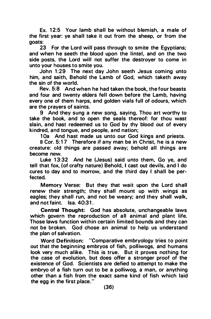Ex. 1 2:5 Your lamb shall be without blemish, a male of the first year: ye shall take it out from the sheep, or from the goats:

23 For the Lord will pass through to smite the Egyptians: and when he seeth the blood upon the lintel, and on the two side posts, the Lord will not suffer the destroyer to come in unto your houses to smite you.

John 1:29 The next day John seeth Jesus coming unto him, and saith, Behold the Lamb of God, which taketh away the sin of the world.

Rev. 5:8 And when he had taken the book, the four beasts and four and twenty elders fell down before the Lamb, having every one of them harps, and golden vials full of odours, which are the prayers of saints.

9 And they sung a new song, saying, Thou art worthy to take the book, and to open the seals thereof: for thou wast slain, and hast redeemed us to God by thy blood out of every kindred, and tongue, and people, and nation;

1 Oa And hast made us unto our God kings and priests.

II Cor. 5:17 Therefore if any man be in Christ, he is a new creature: old things are passed away; behold all things are become new.

Luke 13:32 And he (Jesus) said unto them, Go ve, and tell that fox, (of crafty nature) Behold, I cast out devils, and I do cures to day and to morrow, and the third day I shall be perfected.

Memory Verse: But they that wait upon the Lord shall renew their strength; they shall mount up with wings as eagles; they shall run, and not be weary; and they shall walk, and not faint. lsa. 40:31.

Central Thought: God has absolute, unchangeable laws which govern the reproduction of all animal and plant life. Those laws function within certain limited bounds and they can not be broken. God chose an animal to help us understand the plan of salvation.

Word Definition: "Comparative embryology tries to point out that the beginning embryos of fish, polliwogs, and humans look very much alike. This is true. But it proves nothing for the case of evolution, but does offer a stronger proof of the existence of God. Scientists are defied to attempt to make the embryo of a fish turn out to be a polliwog, a man, or anything other than a fish from the exact same kind of fish which laid the egg in the first place."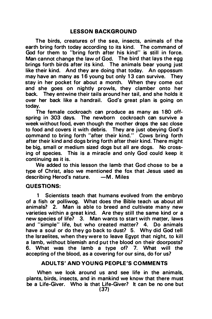The birds, creatures of the sea, insects, animals of the earth bring forth today according to its kind. The command of God for them to "bring forth after his kind" is still in force. Man cannot change the law of God. The bird that lays the egg brings forth birds after its kind. The animals bear young just like their kind. And they are doing that today. An oppossum may have an many as 16 young but only 13 can survive. They stay in her pocket for about a month. When they come out and she goes on nightly prowls, they clamber onto her back. They entwine their tails around her tail, and she holds it over her back like a handrail. God's great plan is going on today.

The female cockroach can produce as many as 180 offspring in 303 days. The newborn cockroach can survive a week without food, even though the mother drops the sac close to food and covers it with debris. They are just obeying God's command to bring forth "after their kind." Cows bring forth after their kind and dogs bring forth after their kind. There might be big, small or medium sized dogs but all are dogs. No crossing of species. This is a miracle and only God could keep it continuing as it is.

We added to this lesson the lamb that God chose to be a type of Christ, also we mentioned the fox that Jesus used as describing Herod's nature.  $-M$ . Miles

#### QUESTIONS:

1 Scientists teach that humans evolved from the embryo of a fish or polliwog. What does the Bible teach us about all animals? 2. Man is able to breed and cultivate many new varieties within a great kind. Are they still the same kind or a new species of life? 3. Man wants to start with matter, laws and "simple" life, but who created matter? 4. Do animals have a soul or do they go back to dust? 5. Why did God tell the Israelites, when they were to leave Egypt that night, to kill a lamb, without blemish and put the blood on their doorposts? 6. What was the lamb a type of? 7. What will the accepting of the blood, as a covering for our sins, do for us?

#### ADULTS' AND YOUNG PEOPLE'S COMMENTS

When we look around us and see life in the animals, plants, birds, insects, and in mankind we know that there must be a Life-Giver. Who is that Life-Giver? It can be no one but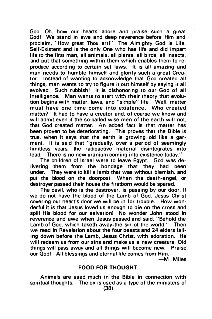God. Oh, how our hearts adore and praise such a great Godl We stand in awe and deep reverence before Him and proclaim, "How great Thou artl" The Almighty God is Life, Self-Existent and is the only One who has life and did impart life to the first man, all animals, all plants, all birds, all insects, and put that something within them which enables them to reproduce according to certain set laws. It is all amazing and man needs to humble himself and glorify such a great Crea-<br>tor. Instead of wanting to acknowledge that God created all Instead of wanting to acknowledge that God created all things, man wants to try to figure it out himself by saying it all evolved. Such rubbish! It is dishonoring to our God of all intelligence. Man wants to start with their theory that evolution begins with matter, laws, and "simple" life. Well, matter must have one time come into existence. Who created matter? It had to have a creator and, of course we know and will admit even if the so-called wise men of the earth will not, that God created matter. An added fact is that matter has been proven to be deteriorating. This proves that the Bible is true, when it says that the earth is growing old like a garment. It is said that "gradually, over a period of seemingly limitless years, the radioactive material disintegrates into lead. There is no new uranium coming into existence today."

The children of Israel were to leave Egypt. God was delivering them from the bondage that they had been under. They were to kill a lamb that was without blemish, and put the blood on the doorpost. When the death-angel, or destroyer passed their house the firstborn would be spared.

The devil, who is the destroyer, is passing by our door. If we do not have the blood of the Lamb of God, Jesus Christ covering our heart's door we will be in for trouble. How wonderful it is that Jesus loved us enough to die on the cross and spill His blood for our salvation! No wonder John stood in reverence and awe when Jesus passed and said, "Behold the Lamb of God, which taketh away the sin of the world." Then we read in Revelation about the four beasts and 24 elders falling down before the Lamb, Jesus Christ, with adoration. He will redeem us from our sins and make us a new creature. Old things will pass away and all things will become new. Praise our God! All blessings and eternal life comes from Him.

-M . Miles

#### FOOD FOR THOUGHT

Animals are used much in the Bible in connection with spiritual thoughts. The ox is used as a type of the ministers of (38)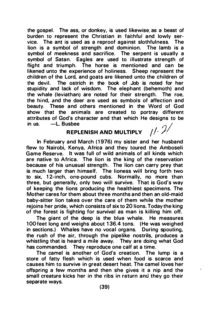the gospel. The ass, or donkey, is used likewise. as a beast of burden to represent the Christian in faithful and lowly service. The ant is used as a reproof against slothfulness. The lion is a symbol of strength and dominion. The lamb is a symbol of meekness and sacrifice. The serpent is usually a symbol of Satan. Eagles are used to illustrate strength of flight and triumph. The horse is mentioned and can be likened unto the experience of holiness. Sheep represent the children of the Lord, and goats are likened unto the children of<br>the devil. The ostrich in the book of Job is noted for her The ostrich in the book of Job is noted for her stupidity and lack of wisdom. The elephant (behemoth) and the whale (leviathan) are noted for their strength. The roe, the hind, and the deer are used as symbols of affection and beauty. These and others mentioned in the Word of God show that the animals are created to portray different attributes of God's character and that which He designs to be in us.  $\frac{1}{2}$  $-L.$  Busbee

# REPLENISH AND MULTIPLY  $1/2$

In February and March ( 1 976) my sister and her husband flew to Nairobi, Kenya, Africa and they toured the Amboseli Game Reserve. It was full of wild animals of all kinds which are native to Africa. The lion is the king of the reservation because of his unusual strength. The lion can carry prey that is much larger than himself. The lioness will bring forth two to six, 12-inch, one-pound cubs. Normally, no more than three, but genera lly, only two will survive. That is God's way of keeping the lions producing the healthiest specimens. The Mother cares for them about three months and then an old-maid baby-sitter lion takes over the care of them while the mother rejoins her pride, which consists of six to 20 lions. Today the king of the forest is fighting for survival as man is killing him off.

The giant of the deep is the blue whale. He measures 100 feet long and weighs about 136.4 tons. (He was weighed in sections.) Whales have no vocal organs. During spouting, the rush of the air, through the pipelike nostrils, produces a whistling that is heard a mile away. They are doing what God has commanded. They reproduce one calf at a time.

The camel is another of God's creation. The lump is a store of fatty flesh which is used when food is scarce and causes him to survive in great desert heat. The camel loves her offspring a few months and then she gives it a nip and the small creature kicks her in the ribs in return and they go their separate ways.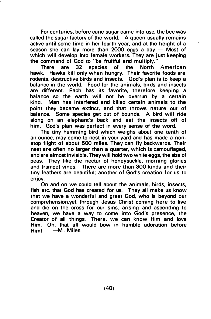For centuries, before cane sugar came into use, the bee was called the sugar factory of the world. A queen usually remains active until some time in her fourth year, and at the height of a season she can lay more than  $2000$  eggs a day  $-$  Most of which will develop into female workers. They are just keeping the command of God to "be fruitful a nd multiply."

There are 32 species of the North American hawk. Hawks kill only when hungry. Their favorite foods are rodents, destructive birds and insects. God's plan is to keep a balance in the world. Food for the animals, birds and insects are different. Each has its favorite, therefore keeping a balance so the earth will not be overrun by a certain kind. Man has interfered and killed certain animals to the point they became extinct, and that throws nature out of balance. Some species get out of bounds. A bird will ride along on an elephant's back and eat the insects off of him. God's plan was perfect in every sense of the word.

The tiny humming bird which weighs about one tenth of an ounce, may come to nest in your yard and has made a nonstop flight of about 500 miles. They can fly backwards. Their nest are often no larger than a quarter, which is camouflaged, and are almost invisible. They will hold two white eggs, the size of peas. They like the nectar of honeysuckle, morning glories and trumpet vines. There are more than 300 kinds and their tiny feathers are beautiful; another of God's creation for us to enjoy.

On and on we could tell about the animals, birds, insects, fish etc. that God has created for us. They all make us know that we have a wonderful and great God, who is beyond our comprehension,yet through Jesus Christ coming here to live and die on the cross for our sins, arising and ascending to heaven, we have a way to come into God's presence, the Creator of all things. There, we can know Him and love Him. Oh, that all would bow in humble adoration before  $-M$ . Miles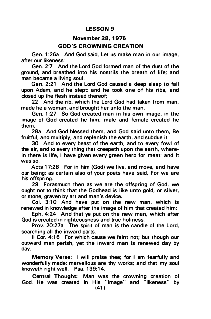#### LESSON 9

## November 28, 1 976 GOD'S CROWNING CREATION

Gen. 1 :26a And God said, Let us make man in our image, after our likeness:

Gen. 2:7 And the Lord God formed man of the dust of the ground, and breathed into his nostrils the breath of life; and man became a living soul.

Gen. 2:21 And the Lord God caused a deep sleep to fall upon Adam, and he slept: and he took one of his ribs, and closed up the flesh instead thereof;

22 And the rib, which the Lord God had taken from man, made he a woman, and brought her unto the man.

Gen. 1:27 So God created man in his own image, in the image of God created he him; male and female created he them.

28a And God blessed them, and God said unto them, Be fruitful, and multiply, and replenish the earth, and subdue it:

30 And to every beast of the earth, and to every fowl of the air, and to every thing that creepeth upon the earth, wherein there is life, I have given every green herb for meat: and it was so.

Acts 17:28 For in him (God) we live, and move, and have our being; as certain also of your poets have said, For we are his offspring.

29 Forasmuch then as we are the offspring of God, we ought not to think that the Godhead is like unto gold, or silver, or stone, graven by art and man's device.

Col.  $3:10$  And have put on the new man, which is renewed in knowledge after the image of him that created him:

Eph. 4:24 And that ye put on the new man, which after God is created in righteousness and true holiness.

Prov. 20:27a The spirit of man is the candle of the Lord, searching all the inward parts.

II Cor. 4:16 For which cause we faint not; but though our outward man perish, yet the inward man is renewed day by day.

Memory Verse: I will praise thee; for I am fearfully and wonderfully made: marvellous are thy works; and that my soul knoweth right well. Psa. 139:14.

Central Thought: Man was the crowning creation of God. He was created in His "image" and "likeness" by  $(41)$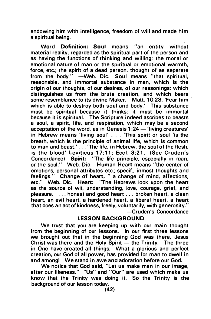endowing him with intelligence, freedom of will and made him a spiritual being.

Word Definition: Soul means "an entity without material reality, regarded as the spiritual part of the person and as having the functions of thinking and willing; the moral or emotional nature of man or the spiritual or emotional warmth. force, etc.; the spirit of a dead person, thought of as separate from the body." - Web. Dic. Soul means "that spiritual, reasonable, and immortal substance in man, which is the origin of our thoughts, of our desires, of our reasonings; which distinguishes us from the brute creation, and which bears some resemblance to its divine Maker. Matt. 10:28, 'Fear him which is able to destroy both soul and body.' This substance must be spiritual because it thinks; it must be immortal because it is spiritual. The Scripture indeed ascribes to beasts a soul, a spirit, life, and respiration, which may be a second acceptation of the word, as in Genesis  $1:24 - 1$ iving creatures' in Hebrew means 'living soul' ... 'This spirit or soul 'is the breath, which is the principle of animal life, which is common to man and beast.' ... 'The life, in Hebrew, the soul of the flesh, is the blood' Leviticus 17:11; Eccl. 3:21. (See Cruden's Concordance) Spirit: "The life principle, especially in man, or the soul." Web. Dic. Human Heart means "the center of emotions, personal attributes etc.; specif., inmost thoughts and feelings." Change of heart, " a change of mind, affections, etc.'' Web. Die. Heart: "The Hebrews look upon the heart as the source of wit, understanding, love, courage, grief, and pleasure. . .. honest and good heart ... broken heart, a clean heart, an evil heart, a hardened heart, a liberal heart, a heart that does an act of kindness, freely, voluntarily, with generosity."

-Cruden's Concordance

#### LESSON BACKGROUND

We trust that you are keeping up with our main thought from the beginning of our lessons. In our first three lessons we brought out that in the beginning God was there, Jesus Christ was there and the Holy Spirit  $-$  the Trinity. The three in One have created all things. What a glorious and perfect creation, our God of all power, has provided for man to dwell in and among! We stand in awe and adoration before our God.

We notice that God said. "Let us make man in our image, after our likeness." "Us" and "Our" are used which make us know that the Trinity was doing it. So the Trinity is the background of our lesson today.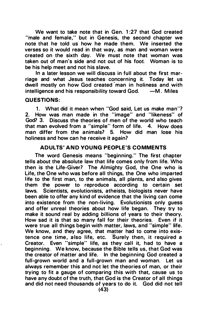We want to take note that in Gen. 1:27 that God created "male and female," but in Genesis, the second chapter we note that he told us how he made them. We inserted the verses so it would read in that way, as man and woman were created on the sixth day. We must note that woman was taken out of man's side and not out of his foot. Woman is to be his help meet and not his slave.

In a later lesson we will discuss in full about the first marriage and what Jesus teaches concerning it. Today let us dwell mostly on how God created man in holiness and with intelligence and his responsibility toward God.  $-M$ . Miles

#### QUESTIONS:

1. What did it mean when "God said, Let us make man"? 2. How was man made in the "image" and "likeness" of God? 3. Discuss the theories of men of the world who teach that man evolved from a "simple" form of life. 4. How does man differ from the animals? 5. How did man lose his holiness and how can he receive it again?

#### ADULTS' AND YOUNG PEOPLE'S COMMENTS

The word Genesis means "beginning." The first chapter tells about the absolute law that life comes only from life. Who then is the Life-Giver? The Almighty God, the One who is Life, the One who was before all things, the One who imparted life to the first man, to the animals, all plants, and also gives them the power to reproduce according to certain set laws. Scientists, evolutionists, atheists, biologists never have been able to offer any kind of evidence that the living can come into existence from the non-living. Evolutionists only guess and offer unreal theories about how life began. They try to make it sound real by adding billions of years to their theory. How sad it is that so many fall for their theories. Even if it were true all things begin with matter, laws, and "simple" life. We know, and they agree, that matter had to come into existence one time, also life, etc. Surely then, it required a Creator. Even "simple" life, as they call it, had to have a beginning. We know, because the Bible tells us, that God was the creator of matter and life. In the beginning God created a full-grown world and a full-grown man and woman. Let us always remember this and not let the theories of man, or their trying to fit a gauge of comparing this with that, cause us to have any doubt of the truth, that God is the Creator of all things and did not need thousands of years to do it. God did not tell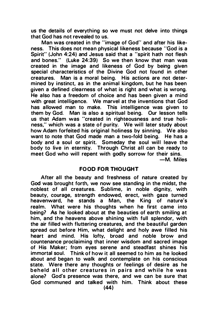us the details of everything so we must not delve into things that God has not revealed to us.

Man was created in the "image of God" and after his likeness. This does not mean physical likeness because "God is a Spirit" (John 4:24) and Jesus said that a "spirit hath not flesh and bones." (luke 24:39) So we then know that man was created in the image and likeness of God by being given special characteristics of the Divine God not found in other creatures. Man is a moral being. His actions are not determined by instinct, as in the animal kingdom, but he has been given a defined clearness of what is right and what is wrong. He also has a freedom of choice and has been given a mind with great intelligence. We marvel at the inventions that God has allowed man to make. This intelligence was given to them by God. Man is also a spiritual being. Our lesson tells us that Adam was "created in righteousness and true holiness," which was a state of purity. We will later study about how Adam forfeited his original holiness by sinning. We also want to note that God made man a two-fold being. He has a body and a soul or spirit. Someday the soul will leave the body to live in eternity. Through Christ all can be ready to meet God who will repent with godly sorrow for their sins. -M. Miles

#### FOOD FOR THOUGHT

After all the beauty and freshness of nature created by God was brought forth, we now see standing in the midst, the noblest of all creatures. Sublime, in noble dignity, with beauty, courage, strength endowed, erect, with gaze turned heavenward, he stands a Man, the King of nature's realm. What were his thoughts when he first came into being? As he looked about at the beauties of earth smiling at him, and the heavens above shining with full splendor, with the air filled with fluttering creatures, and the beautiful garden spread out before Him, what delight and holy awe filled his heart and mind. His lofty, broad and noble brow and countenance proclaiming that inner wisdom and sacred image of His Maker; from eyes serene and steadfast shines his immortal soul. Think of how it all seemed to him as he looked about and began to walk and contemplate on his conscious state. Were there any thoughts or feelings of desire as he beheld all other creatures in pairs and while he was alone? God's presence was there, and we can be sure that God communed and talked with him. Think about these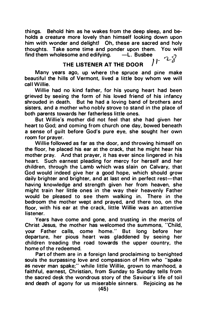things. Behold him as he wakes from the deep sleep, and beholds a creature more lovely than himself looking down upon him with wonder and delight! Oh, these are sacred and holy thoughts. Take some time and ponder upon them. You will find them wholesome and edifying.  $-$ L. Busbee<br>THE LISTENER AT THE DOOR  $/1 - 2\sqrt{2}$ 

Many years ago, up where the spruce and pine make beautiful the hills of Vermont, lived a little boy whom we will call Willie.

Willie had no kind father, for his young heart had been grieved by seeing the form of his loved friend of his infancy shrouded in death. But he had a loving band of brothers and sisters, and a mother who nobly strove to stand in the place of both parents towards her fatherless little ones.

But Willie's mother did not feel that she had given her heart to God; and coming from church one day, bowed beneath a sense of guilt before God's pure eye, she sought her own room for prayer.

Willie followed as far as the door, and throwing himself on the floor, he placed his ear at the crack, that he might hear his mother pray. And that prayer, it has ever since lingered in his heart. Such earnest pleading for mercy for herself and her children, through the Lamb which was slain on Calvary, that God would indeed give her a good hope, which should grow daily brighter and brighter, and at last end in perfect rest-that having knowledge and strength given her from heaven, she might train her little ones in the way their heavenly Father would be pleased to see them walking in. There in the bedroom the mother wept and prayed, and there too, on the floor, with his ear at the crack, little Willie was an attentive listener.

Years have come and gone, and trusting in the merits of Christ Jesus, the mother has welcomed the summons, "Child, your Father calls, come home." But departure, her pious heart was gladdened by seeing her children treading the road towards the upper country, the home of the redeemed.

Part of them are in a foreign land proclaiming to benighted souls the surpassing love and compassion of Him who "spake as never man spake;" while little Willie, grown to manhood, a faithful, earnest, Christian, from Sunday to Sunday tells from the sacred desk the wondrous story of the Saviour's life of toil and death of agony for us miserable sinners. Rejoicing as he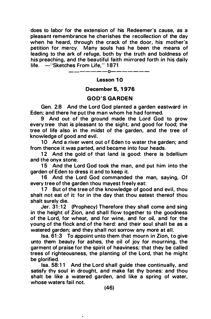does to labor for the extension of his Redeemer's cause, as a pleasant remembrance he cherishes the recollection of the day when he heard, through the crack of the door, his mother's petition for mercy. Many souls has he been the means of leading to the ark of refuge, both by the truth and boldness of his preaching, and the beautiful faith mirrored forth in his daily life. - "Sketches From Life," 1871

 $---$ 

#### Lesson 10

#### December 5, 1976

#### GOD'S GARDEN

Gen. 2:8 And the Lord God planted a garden eastward in Eden; and there he put the man whom he had formed.

9 And out of the ground made the Lord God to grow every tree that is pleasant to the sight, and good for food; the tree of life also in the midst of the garden, and the tree of knowledge of good and evil.

10 And a river went out of Eden to water the garden; and from thence it was parted, and became into four heads.

12 And the gold of that land is good: there is bdellium and the onyx stone.

15 And the Lord God took the man, and put him into the garden of Eden to dress it and to keep it.

16 And the Lord God commanded the man, saying, Of every tree of the garden thou mayest freely eat:

17 But of the tree of the knowledge of good and evil, thou shalt not eat of it: for in the day that thou eatest thereof thou shalt surely die.

Jer. 31:12 (Prophecy) Therefore they shall come and sing in the height of Zion, and shall flow together to the goodness of the Lord, for wheat, and for wine, and for oil, and for the young of the flock and of the herd: and their soul shall be as a watered garden; and they shall not sorrow any more at all.

lsa. 61 :3 To appoint unto them that mourn in Zion, to give unto them beauty for ashes, the oil of joy for mourning, the garment of praise for the spirit of heaviness; that they be called trees of righteousness, the planting of the Lord, that he might be glorified.

Isa. 58:11 And the Lord shall quide thee continually, and satisfy thy soul in drought, and make fat thy bones: and thou shalt be like a watered garden, and like a spring of water, whose waters fail not.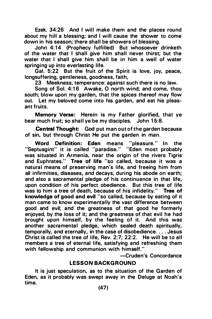Ezek. 34:26 And I will make them and the places round about my hill a blessing; and I will cause the shower to come down in his season; there shall be showers of blessing.

John 4:14 (Prophecy fulfilled) But whosoever drinketh of the water that I shall give him shall never thirst; but the water that I shall give him shall be in him a well of water springing up into everlasting life.

Gal. 5:22 But the fruit of the Spirit is love, joy, peace, longsuffering, gentleness, goodness, faith,

23 Meekness, temperance: against such there is no law.

Song of Sol. 4:16 Awake, 0 north wind; and come, thou south; blow upon my garden, that the spices thereof may flow out. Let my beloved come into his garden, and eat his pleasant fruits.

Memory Verse: Herein is my Father glorified, that ye bear much fruit; so shall ye be my disciples. John 15:8.

Central Thought: God put man out of the garden because of sin, but through Christ He put the garden in man.

Word Definition: Eden means "pleasure." In the "Septuagint" it is called "paradise." "Eden most probably was situated in Armenia, near the origin of the rivers Tigris and Euphrates." Tree of life "so called, because it was a natural means of preserving man's life, and freeing him from all infirmities, diseases, and decays, during his abode on earth; and also a sacramental pledge of his continuance in that life. upon condition of his perfect obedience. But this tree of life was to him a tree of death, because of his infidelity." Tree of knowledge of good and evil "so called, because by eating of it man came to know experimentally the vast difference between good and evil; and the greatness of that good he formerly enjoyed, by the loss of it; and the greatness of that evil he had brought upon himself, by the feeling of it. And this was another sacramental pledge, which sealed death spiritually, temporally, and eternally, in the case of disobedience .... Jesus Christ is called the tree of life, Rev. 2:7: 22:2. He will be to all members a tree of eternal life, satisfying and refreshing them with fellowship and communion with himself."

-Cruden's Concordance

#### LESSON BACKGROUND

It is just speculation, as to the situation of the Garden of Eden, as it probably was swept away in the Deluge at Noah's time.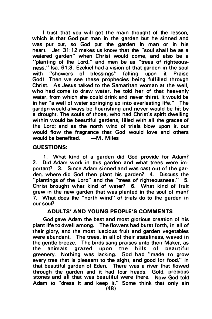I trust that you will get the main thought of the lesson, which is that God put man in the garden but he sinned and was put out, so God put the garden in man or in his heart. Jer. 31:12 makes us know that the "soul shall be as a watered garden" when Christ would come, and also be a "planting of the Lord," and men be as "trees of righteousness." Isa. 61:3. Ezekiel had a vision of that garden in the soul<br>with "showers of blessings" falling upon it. Praise "showers of blessings" falling Godl Then we see these prophecies being fulfilled through Christ. As Jesus talked to the Samaritan woman at the well, who had come to draw water, he told her of that heavenly water, from which she could drink and never thirst. It would be in her "a well of water springing up into everlasting life." The garden would always be flourishing and never would be hit by a drought. The souls of those, who had Christ's spirit dwelling within would be beautiful gardens, filled with all the graces of the Lord; and as the north wind of trials blow upon it, out would flow the fragrance that God would love and others<br>would be benefited. – M. Miles would be benefited.

#### QUESTIONS:

1. What kind of a garden did God provide for Adam? 2. Did Adam work in this garden and what trees were important? 3. Since Adam sinned and was cast out of the garden, where did God then plant his garden? 4. Discuss the "plantings of the Lord" and the "trees of righteousness." 5. Christ brought what kind of water? 6. What kind of fruit grew in the new garden that was planted in the soul of man? 7. What does the "north wind" of trials do to the garden in our soul?

#### ADULTS' AND YOUNG PEOPLE'S COMMENTS

God gave Adam the best and most glorious creation of his plant life to dwell among. The flowers had burst forth, in all of their glory, and the most luscious fruit and garden vegetables were abundant. The trees, in all of their stateliness, waved in the gentle breeze. The birds sang praises unto their Maker, as<br>the animals grazed upon the hills of beautiful the animals grazed upon the hills of beautiful greenery. Nothing was lacking. God had "made to grow every tree that is pleasant to the sight, and good for food," in that beautiful garden of Eden. There was a river that flowed through the garden and it had four heads. Gold, precious stones and all that was beautiful were there. Now God told Adam to "dress it and keep it." Some think that only sin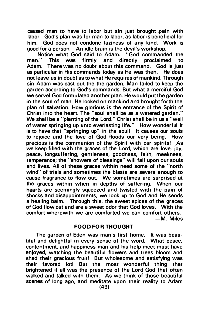caused man to have to labor but sin just brought pain with labor. God's plan was for man to labor, as labor is beneficial for him. God does not condone laziness of any kind. Work is good for a person. An idle brain is the devil's workshop.<br>Notice what God said to Adam. "God commanded the

Notice what God said to Adam. "God commanded the<br>man." This was firmly and directly proclaimed to man." This was firmly and directly proclaimed to Adam. There was no doubt about this command. God is just as particular in His commands today as He was then. He does not leave us in doubt as to what He requires of mankind. Through sin Adam was cast out the the garden. Man failed to keep the garden according to God's commands. But what a merciful God we serve! God formulated another plan. He would put the garden in the soul of man. He looked on mankind and brought forth the plan of salvation. How glorious is the entrance of the Spirit of Christ into the heart. The "soul shall be as a watered garden." We shall be a "planting of the Lord." Christ shall be in us a "well of water springing up unto everlasting life." How wonderful it is to have that "springing up" in the soull It causes our souls to rejoice and the love of God floods our very being. How precious is the communion of the Spirit with our spirits! As we keep filled with the graces of the Lord, which are love, joy, peace, longsuffering, gentleness, goodness, faith, meekness, temperance; the "showers of blessings" will fall upon our souls and lives. All of these graces within need some of the "north wind" of trials and sometimes the blasts are severe enough to cause fragrance to flow out. We sometimes are surprised at the graces within when in depths of suffering. When our hearts are seemingly squeezed and twisted with the pain of shocks and disappointments, we look up to God and He sends a healing balm. Through this, the sweet spices of the graces of God flow out and are a sweet odor that God loves. With the comfort wherewith we are comforted we can comfort others.

-M. Miles

#### FOOD FOR THOUGHT

The garden of Eden was man's first home. It was beautiful and delightful in every sense of the word. What peace, contentment, and happiness man and his help meet must have enjoyed, watching the beautiful flowers and trees bloom and shed their gracious fruit! But wholesome and satisfying was their favored loti But the most wonderful thing that brightened it all was the presence of the Lord God that often walked and talked with them. As we think of those beautiful scenes of long ago, and meditate upon their reality to Adam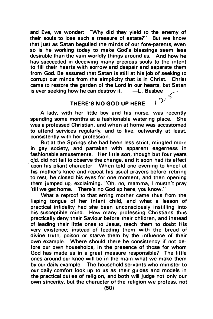and Eve, we wonder: "Why did they yield to the enemy of their souls to lose such a treasure of estate?" But we know that just as Satan bequiled the minds of our fore-parents, even so is he working today to make God's blessings seem less desirable than the vain worldly things around us. And how he has succeeded in deceiving many precious souls to the intent to fill their hearts with sorrow and despair a nd separate them from God. Be assured that Satan is still at his job of seeking to corrupt our minds from the simplicity that is in Christ. Christ came to restore the garden of the Lord in our hearts, but Satan<br>is ever seeking how he can destrov it.  $-$ L. Busbee is ever seeking how he can destroy it.  $-$ L. Busbee<br><del>كريت من عدد عدد من عدد عدد م</del>

#### THERE'S NO GOD UP HERE

A lady, with her little boy and his nurse, was recently spending some months at a fashionable watering place. She was a professed Christian, and when at home was accustomed to attend services regularly, and to live, outwardly at least, consistently with her profession.

But at the Springs she had been less strict, mingled more in gay society, and partaken with apparent eagerness in fashionable amusements. Her little son, though but four years old, did not fail to observe the change, and it soon had its effect upon his pliant character. When told one evening to kneel at his mother's knee and repeat his usual prayers before retiring to rest, he closed his eyes for one moment, and then opening them jumped up, exclaiming, "Oh, no, mamma, I mustn 't pray 'till we get home. There's no God up here, you know."

What a reproof to that erring mother came thus from the lisping tongue of her infant child, and what a lesson of practical infidelity had she been unconsciously instilling into his susceptible mind. How many professing Christians thus practically deny their Saviour before their children, and instead of leading their little ones to Jesus, teach them to doubt His very existence; instead of feeding them with the bread of divine truth, poison or starve them by the influence of their own example. Where should there be consistency if not before our own households, in the presence of those for whom God has made us in a great measure responsible? The little ones around our knee will be in the main what we make them by our daily example. The household servants who minister to our daily comfort look up to us as their guides and models in the practical duties of religion, and both will judge not only our own sincerity, but the character of the religion we profess, not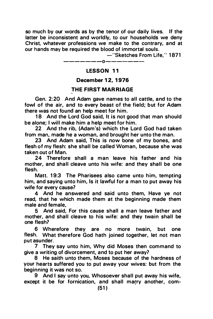so much by our words as by the tenor of our daily lives. If the latter be inconsistent and worldly, to our households we deny Christ, whatever professions we make to the contrary, and at our hands may be required the blood of immortal souls.

-"Sketches From Life," 1871

#### -------0-------

#### LESSON 11

#### December 12, 1976

#### THE FIRST MARRIAGE

Gen. 2:20 And Adam gave names to all cattle, and to the fowl of the air, and to every beast of the field; but for Adam there was not found an help meet for him.

18 And the Lord God said, It is not good that man should be alone; I will make him a help meet for him.

22 And the rib, (Adam's) which the Lord God had taken from man, made he a woman, and brought her unto the man.

23 And Adam said, This is now bone of my bones, and flesh of my flesh: she shall be called Woman, because she was taken out of Man.

24 Therefore shall a man leave his father and his mother, and shall cleave unto his wife: and they shall be one flesh.

Matt. 19:3 The Pharisees also came unto him, tempting him, and saying unto him, Is it lawful for a man to put away his wife for every cause?

4 And he answered and said unto them, Have ye not read, that he which made them at the beginning made them male and female,

5 And said, For this cause shall a man leave father and mother, and shall cleave to his wife: and they twain shall be one flesh?

6 Wherefore they are no more twain, but one flesh. What therefore God hath joined together, let not man put asunder.

7 They say unto him, Why did Moses then command to give a writing of divorcement, and to put her away?

8 He saith unto them, Moses because of the hardness of your hearts suffered you to put away your wives: but from the beginning it was not so.

9 And I say unto you, Whosoever shall put away his wife, except it be for fornication, and shall marry another, com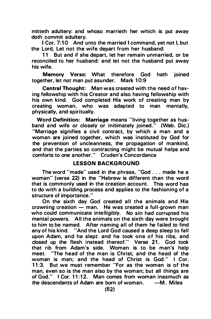mitteth adultery: and whoso marrieth her which is put away doth commit adultery.

I Cor. 7:10 And unto the married I command, yet not I, but the Lord, Let not the wife depart from her husband:

11 But and if she depart, let her remain unmarried, or be reconciled to her husband: and let not the husband put away his wife.

Memory Verse: What therefore God hath joined together, let not man put asunder. Mark 10:9

Central Thought: Man was created with the need of having fellowship with his Creator and also having fellowship with his own kind. God completed His work of creating man by creating woman, who was adapted to man mentally, physically, and spiritually.

Word Definition: Marriage means "living together as husband and wife or closely or initimately joined." (Web. Dic.) "Marriage signifies a civil contract, by which a man and a woman are joined together, which was instituted by God for the prevention of uncleanness, the propagation of mankind, and that the parties so contracting might be mutual helps and comforts to one a nother." Cruden's Concordance

#### LESSON BACKGROUND

The word "made" used in the phrase, "God ... made he a woman" (verse 22) in the "Hebrew is different than the word that is commonly used in the creation account. This word has to do with a building process and applies to the fashioning of a structure of importance."

On the sixth day God created all the animals and His crowning creation  $-$  man. He was created a full-grown man who could communicate intelligibly. No sin had corrupted his mental powers. All the animals on the sixth day were brought to him to be named. After naming all of them he failed to find any of his kind. "And the Lord God caused a deep sleep to fall upon Adam, and he slept: and he took one of his ribs, and closed up the flesh instead thereof." Verse 21. God took that rib from Adam's side. Woman is to be man's help "The head of the man is Christ: and the head of the woman is man; and the head of Christ is God." I Cor. 11 :3. But we must remember "For as the woman is of the man, even so is the man also by the woman; but all things are of God." I Cor. 11:12. Man comes from woman inasmuch as the descendants of Adam are born of woman.  $-M$ . Miles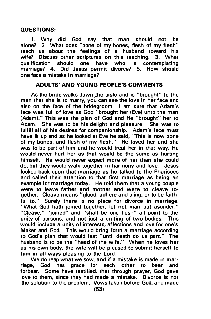#### QUESTIONS:

1. Why did God say that man should not be alone? 2 What does "bone of my bones, flesh of my flesh" teach us about the feelings of a husband toward his wife? Discuss other scriptures on this teaching. qual ification should one have who is contemplating marriage? 4. Did Jesus permit divorce? 5. How should one face a mistake in marriage?

#### ADULTS' AND YOUNG PEOPLE'S COMMENTS

As the bride walks down the aisle and is "brought" to the man that she is to marry, you can see the love in her face and also on the face of the bridegroom. I am sure that Adam's face was full of love as God "brought her (Eve) unto the man (Adam)." This was the plan of God and He "brought" her to Adam. She was to be his delight and pleasure. She was to fulfill all of his desires for companionship. Adam's face must have lit up and as he looked at Eve he said, "This is now bone of my bones, and flesh of my flesh." He loved her and she was to be part of him and he would treat her in that way. He would never hurt her as that would be the same as hurting himself. He would never expect more of her than she could do, but they would walk together in harmony and love. Jesus looked back upon that marriage as he talked to the Pharisees and called their attention to that first marriage as being an example for marriage today. He told them that a young couple were to leave father and mother and were to cleave together. Cleave means "glued, adhere and cling, or to be faithful to." Surely there is no place for divorce in marriage. "What God hath joined together, let not man put asunder." "Cleave," "joined" and "shall be one flesh" all point to the unity of persons, and not just a uniting of two bodies. This would include a unity of interests, affections and love for one's Maker and God. This would bring forth a marriage according to God's plan that would last "until death do us part." The husband is to be the "head of the wife." When he loves her as his own body, the wife will be pleased to submit herself to him in all ways pleasing to the Lord.

We do reap what we sow, and if a mistake is made in mar-<br>riage. God has grace for each other to bear and arace for each other to bear and forbear. Some have testified, that through prayer, God gave love to them, since they had made a mistake. Divorce is not the solution to the problem. Vows taken before God, and made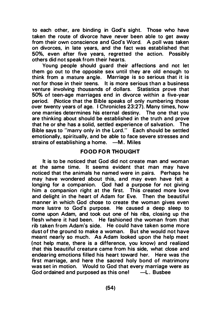to each other, are binding in God's sight. Those who have taken the route of divorce have never been able to get away from their own conscience and God's Word. A poll was taken on divorces, in late years, and the fact was established that 50%, even after five years, regretted the action. Possibly others did not speak from their hearts.

Young people should guard their affections and not let them go out to the opposite sex until they are old enough to think from a mature angle. Marriage is so serious that it is not for those in their teens. It is more serious than a business venture involving thousands of dollars. Statistics prove that 50% of teen-age marriages end in divorce within a five-year period. (Notice that the Bible speaks of only numbering those over twenty years of age. I Chronicles 23:27). Many times, how one marries determines his eternal destiny. The one that you are thinking about should be established in the truth and prove that he or she has a solid, settled experience of salvation. The Bible says to "marry only in the Lord." Each should be settled emotionally, spiritually, and be able to face severe stresses and strains of establishing a home.  $-M$ . Miles

#### FOOD FOR THOUGHT

It is to be noticed that God did not create man and woman at the same time. It seems evident that man may have noticed that the animals he named were in pairs. Perhaps he may have wondered about this, and may even have felt a longing for a companion. God had a purpose for not giving him a companion right at the first. This created more love and delight in the heart of Adam for Eve. Then the beautiful manner in which God chose to create the woman gives even more lustre to God's purpose. He caused a deep sleep to come upon Adam, and took out one of his ribs, closing up the flesh where it had been. He fashioned the woman from that rib taken from Adam's side. He could have taken some more dust of the ground to make a woman. But she would not have meant nearly so much. As Adam looked upon the help meet (not help mate, there is a difference, you know) and realized that this beautiful creature came from his side, what close and endearing emotions filled his heart toward her. Here was the first marriage, and here the sacred holy bond of matrimony was set in motion. Would to God that every marriage were as God ordained and purposed as this one! $-\mathsf{L}$ . Busbee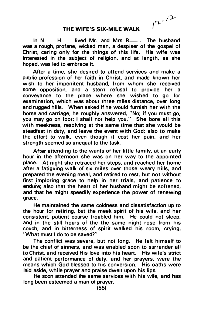$12^{12}$ 

#### THE WIFE'S SIX-MILE WALK

In  $N$   $\blacksquare$  H ived Mr. and Mrs B  $\blacksquare$ . The husband was a rough, profane, wicked man, a despiser of the gospel of Christ, caring only for the things of this life. His wife was interested in the subject of religion, and at length, as she hoped, was led to embrace it.

After a time, she desired to attend services and make a public profession of her faith in Christ, and made known her wish to her impenitent husband, from whom she received some opposition, and a stern refusal to provide her a conveyance to the place where she wished to go for examination, which was about three miles distance, over long and rugged hills. When asked if he would furnish her with the horse and carriage, he roughly answered, "No; if you must go, you may go on foot; I shall not help you." She bore all this with meekness, resolving at the same time that she would be steadfast in duty, and leave the event with God; also to make the effort to walk, even though it cost her pain, and her strength seemed so unequal to the task.

After attending to the wants of her little family, at an early hour in the afternoon she was on her way to the appointed place. At night she retraced her steps, and reached her home after a fatiguing walk of six miles over those weary hills, and prepared the evening meal, and retired to rest, but not without first imploring grace to help in her trials, and patience to endure; also that the heart of her husband might be softened, and that he might speedily experience the power of renewing grace.

He maintained the same coldness and dissatisfaction up to the hour for retiring, but the meek spirit of his wife, and her consistent, patient course troubled him. He could not sleep, and in the still hours of the the same night rose from his couch, and in bitterness of spirit walked his room, crying, 'What must I do to be saved?"

The conflict was severe, but not long. He felt himself to be the chief of sinners, and was enabled soon to surrender all to Christ, and received His love into his heart. His wife's strict and patient performance of duty, and her prayers, were the means which God blessed to his conversion. His oaths were laid aside, while prayer and praise dwelt upon his lips.

He soon attended the same services with his wife, and has long been esteemed a man of prayer.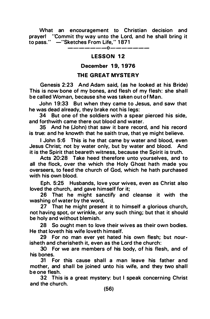What an encouragement to Christian decision and prayer! "Commit thy way unto the Lord, and he shall bring it to pass." — "Sketches From Life," 1871

 $---0-$ 

#### LESSON 12

#### December 19, 1976

#### THE GREAT MYSTERY

Genesis 2:23 And Adam said, (as he looked at his Bride) This is now bone of my bones, and flesh of my flesh: she shall be called Woman, because she was taken out of Man.

John 19:33 But when they came to Jesus, and saw that he was dead already, they brake not his legs:

34 But one of the soldiers with a spear pierced his side, and forthwith came there out blood and water.

35 And he (John) that saw it bare record, and his record is true: and he knowth that he saith true, that ye might believe.

I John 5:6 This is he that came by water and blood, even Jesus Christ; not by water only, but by water and blood. And it is the Spirit that beareth witness, because the Spirit is truth.

Acts 20:28 Take heed therefore unto yourselves, and to all the flock, over the which the Holy Ghost hath made you overseers, to feed the church of God, which he hath purchased with his own blood.

Eph. 5:25 Husbands, love your wives, even as Christ a lso loved the church, and gave himself for it;

26 That he might sanctify and cleanse it with the washing of water by the word,

27 That he might present it to himself a glorious church, not having spot, or wrinkle, or any such thing; but that it should be holy and without blemish.

28 So ought men to love their wives as their own bodies. He that loveth his wife loveth himself.

29 For no man ever yet hated his own flesh; but nourisheth and cherisheth it, even as the Lord the church:

30 For we are members of his body, of his flesh, and of his bones.

31 For this cause shall a man leave his father and mother, and shall be joined unto his wife, and they two shall be one flesh.

32 This is a great mystery: but I speak concerning Christ and the church.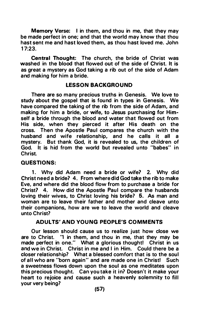Memory Verse: I in them, and thou in me, that they may be made perfect in one; and that the world may know that thou hast sent me and hast loved them, as thou hast loved me. John  $17.23.$ 

Central Thought: The church, the bride of Christ was washed in the blood that flowed out of the side of Christ. It is as great a mystery as God taking a rib out of the side of Adam and making for him a bride.

#### LESSON BACKGROUND

There are so many precious truths in Genesis. We love to study about the gospel that is found in types in Genesis. We have compared the taking of the rib from the side of Adam, and making for him a bride, or wife, to Jesus purchasing for Himself a bride through the blood and water that flowed out from His side, when they pierced it after His death on the cross. Then the Apostle Paul compares the church with the husband and wife relationship, and he calls it all a mystery. But thank God, it is revealed to us, the children of God. It is hid from the world but revealed unto "babes" in Christ.

#### QUESTIONS:

1. Why did Adam need a bride or wife7 2. Why did Christ need a bride7 4. From where did God take the rib to make Eve, and where did the blood flow from to purchase a bride for Christ7 4. How did the Apostle Paul compare the husbands loving their wives, to Christ loving his bride? 5. As man and woman are to leave their father and mother and cleave unto their companions, how are we to leave the world and cleave unto Christ?

#### ADULTS' AND YOUNG PEOPLE'S COMMENTS

Our lesson should cause us to realize just how close we are to Christ. "I in them, and thou in me, that they m�y be made perfect in one." What a glorious thought! Christ in us and we in Christ. Christ in me and I in Him. Could there be a closer relationship? What a blessed comfort that is to the soul of all who are "born again" and are made one in Christ! Such a sweetness flows down upon the soul as one meditates upon this precious thought. Can you take it in? Doesn't it make your heart to rejoice and cause such a heavenly solemnity to fill your very being?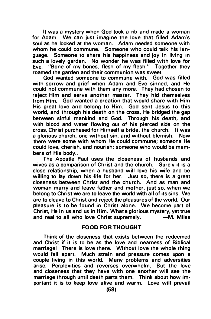It was a mystery when God took a rib and made a woman for Adam. We can just imagine the love that filled Adam's soul as he looked at the woman. Adam needed someone with whom he could commune. Someone who could talk his language. Someone to share his happiness and joy in living in such a lovely garden. No wonder he was filled with love for Eve. "Bone of my bones, flesh of my flesh." Together they roamed the garden and their communion was sweet.

God wanted someone to commune with. God was filled with sorrow and grief when Adam and Eve sinned, and He could not commune with them any more. They had chosen to reject Him and serve another master. They hid themselves from Him. God wanted a creation that would share with Him His great love and belong to Him. God sent Jesus to this world, and through his death on the cross, He bridged the gap between sinful mankind and God. Through his death, and with blood and water flowing out of his pierced side on the cross, Christ purchased for Himself a bride, the church. It was a glorious church, one without sin, and without blemish. Now there were some with whom He could commune; someone He could love, cherish, and nourish; someone who would be members of His body...

The Apostle Paul uses the closeness of husbands and wives as a comparison of Christ and the church. Surely it is a close relationship, when a husband will love his wife and be willing to lay down his life for her. Just so, there is a great closeness between Christ and the church. And as man and woman marry and leave father and mother, just so, when we belong to Christ we are to leave the world with all of its sins. We are to cleave to Christ and reject the pleasures of the world. Our pleasure is to be found in Christ alone. We become part of Christ, He in us and us in Him. What a glorious mystery, yet true<br>and real to all who love Christ supremely. - M. Miles and real to all who love Christ supremely.

#### FOOD FOR THOUGHT

Think of the closeness that exists between the redeemed and Christ if it is to be as the love and nearness of Biblical marriagel There is love there. Without love the whole thing would fall apart. Much strain and pressure comes upon a couple living in this world. Many problems and adversities<br>arise. Perplexities and reverses overwhelm. But the love Perplexities and reverses overwhelm. But the love and closeness that they have with one another will see the marriage through until death parts them. Think about how important it is to keep love alive and warm. Love will prevail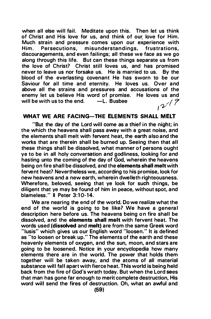when all else will fail. Meditate upon this. Then let us think of Christ and His love for us, and think of our love for Him. Much strain and pressure comes upon our e xperience with Him. Persecutions, misunderstandings, frustrations. discouragements, and even failings; all these we face as we go along through this life. But can these things separate us from the love of Christ? Christ still loves us, and has promised never to leave us nor forsake us. He is married to us. By the blood of the everlasting covenant He has sworn to be our Saviour for all time and eternity. He loves us. Over and above all the strains and pressures and accusations of the enemy let us believe His word of promise. He loves us and<br>will be with us to the end.  $-$ L. Busbee will be with us to the end.  $12^{17}$ 

#### WHAT WE ARE FACING-THE ELEMENTS SHALL MELT

"But the day of the Lord will come as a thief in the night; in the which the heavens shall pass away with a great noise, and the elements shall melt with fervent heat, the earth also and the works that are therein shall be burned up. Seeing then that all these things shall be dissolved, what manner of persons ought ye to be in all holy conversation and godliness, looking for a nd hasting unto the coming of the day of God, wherein the heavens being on fire shall be dissolved, a nd the elements shall melt with fervent heat? Nevertheless we, according to his promise, look for new heavens and a new earth, wherein dwelleth righteousness. Wherefore, beloved, seeing that ye look for such things, be diligent that ye may be found of him in peace, without spot, and blameless." Il Peter 3:10-14.

We are nearing the end of the world. Do we realize what the end of the world is going to be like? We have a general description here before us. The heavens being on fire shall be dissolved, and the elements shall melt with fervent heat. The words used (dissolved and melt) are from the same Greek word "lusis" which gives us our English word "loosen." It is defined as "to loosen or break up." The elements of the earth a nd these heavenly elements of oxygen, and the sun, moon, and stars are going to be loosened. Notice in your encyclopedia how many elements there are in the world. The power that holds them together will be taken away, and the atoms of all material substance will fall apart with fierce heat. This world is being held back from the fire of God's wrath today. But when the Lord sees that man has gone far enough to merit complete destruction, His word will send the fires of destruction. Oh, what an awful and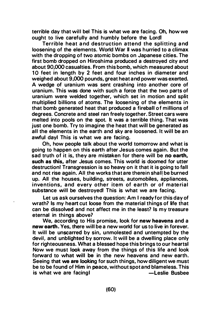terrible day that will bel This is what we are facing. Oh, how we ought to live carefully and humbly before the Lord!

Terrible heat and destruction attend the splitting and loosening of the elements. World War II was hurried to a climax with the dropping of two atomic bombs on Japanese cities. The first bomb dropped on Hiroshima produced a destroyed city and about 90,000 casualties. From this bomb, which measured about 10 feet in length by 2 feet and four inches in diameter and weighed about 9,000 pounds, great heat a nd power was exerted. A wedge of uranium was sent crashing into another core of uranium. This was done with such a force that the two parts of uranium were welded together, which set in motion and split multiplied billions of atoms. The loosening of the elements in that bomb generated heat that produced a fireball of millions of degrees. Concrete a nd steel ran freely together. Street cars were melted into pools on the spot. It was a terrible thing. That was just one bomb. Try to imagine the heat that will be generated as all the elements in the earth and sky are loosened. It will be an awful dayl This is what we are facing.

Oh, how people talk about the world tomorrow and what is going to happen on this earth after Jesus comes again. But the sad truth of it is, they are mistaken for there will be no earth. such as this, after Jesus comes. This world is doomed for utter destruction! Transgression is so heavy on it that it is going to fall and not rise again. All the works that are therein shall be burned up. All the houses, building, streets, automobiles, appliances, inventions, and every other item of earth or of material substance will be destroved! This is what we are facing.

Let us ask ourselves the question: Am I ready for this day of wrath? Is my heart cut loose from the material things of life that can be dissolved and not affect me in the least? Is my treasure eternal in things above?

We, according to His promise, look for new heavens and a new earth. Yes, there will be a new world for us to live in forever. It will be unscarred by sin, unmolested and untempted by the devil, and unblighted by sorrow. It will be a dwelling place only for righteousness. What a blessed hope this brings to our heartsl Now we must look away from the things of this life and look forward to what will be in the new heavens and new earth. Seeing that we are looking for such things, how diligent we must be to be found of Him in peace, without spot and blameless. This<br>is what we are facingless is the surface of the surface is what we are facingl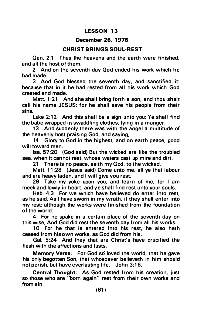#### LESSON 13

#### December 26. 1 976

#### CHRIST BRINGS SOUL-REST

Gen. 2:1 Thus the heavens and the earth were finished, and all the host of them.

2 And on the seventh day God ended his work which he had made.

3 And God blessed the seventh day, and sanctified it: because that in it he had rested from all his work which God created and made.

Matt. 1:21 And she shall bring forth a son, and thou shalt call his name JESUS: for he shall save his people from their sins.

Luke 2: 12 And this shall be a sign unto you; Ye shall find the babe wrapped in swaddling clothes, lying in a manger.

13 And suddenly there was with the angel a multitude of the heavenly host praising God, and saying,

14 Glory to God in the highest, and on earth peace, good will toward men.

lsa. 57:20 (God said) But the wicked are like the troubled sea, when it cannot rest, whose waters cast up mire and dirt.

21 There is no peace, saith my God, to the wicked.

Matt. 11:28 (Jesus said) Come unto me, all ye that labour and are heavy laden, and I will give you rest.

29 Take my yoke upon you, and learn of me; for I am meek and lowly in heart: and ye shall find rest unto your souls.

Heb. 4:3 For we which have believed do enter into rest, as he said, As I have sworn in my wrath, if they shall enter into my rest: although the works were finished from the foundation of the world.

4 For he spake in a certain place of the seventh day on this wise, And God did rest the seventh day from all his works.

10 For he that is entered into his rest, he also hath ceased from his own works, as God did from his.

Gal. 5:24 And they that are Christ's have crucified the flesh with the affections and lusts.

Memory Verse: For God so loved the world, that he gave his only begotten Son, that whosoever believeth in him should not perish, but have everlasting life. John 3:16.

Central Thought: As God rested from his creation, just so those who are "born again" rest from their own works and from sin.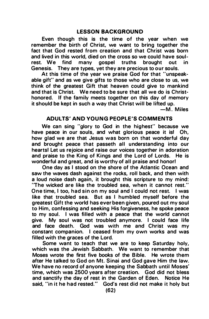Even though this is the time of the year when we remember the birth of Christ, we want to bring together the fact that God rested from creation and that Christ was born and lived in this world, died on the cross so we could have soul-<br>rest. We find many gospel truths brought out in many gospel truths Genesis. They are types, yet they are precious to our souls.

At this time of the year we praise God for that "unspeakable gift" and as we give gifts to those who are close to us, we think of the greatest Gift that heaven could give to mankind and that is Christ. We need to be sure that all we do is Christhonored. If the family meets together on this day of memory it should be kept in such a way that Christ will be lifted up.

 $-M$ . Miles

#### ADULTS' AND YOUNG PEOPLE'S COMMENTS

We can sing "glory to God in the highest" because we have peace in our souls, and what glorious peace it isl Oh, how glad we are that Jesus was born on that wonderful day and brought peace that passeth all understanding into our heartsl Let us rejoice and raise our voices together in adoration and praise to the King of Kings and the Lord of Lords. He is wonderful and great, and is worthy of all praise and honor!

One day as I stood on the shore of the Atlantic Ocean and saw the waves dash against the rocks, roll back, and then with a loud noise dash again, it brought this scripture to my mind: ''The wicked are like the troubled sea, when it cannot rest." One time, I too, had sin on my soul and I could not rest. I was like that troubled sea. But as I humbled myself before the greatest Gift the world has ever been given, poured out my soul to Him, confessing and seeking His forgiveness, he spoke peace to my soul. I was filled with a peace that the world cannot give. My soul was not troubled anymore. I could face life and face death. God was with me and Christ was my constant companion. I ceased from my own works and was filled with the graces of the Lord.

Some want to teach that we are to keep Saturday holy, which was the Jewish Sabbath. We want to remember that Moses wrote the first five books of the Bible. He wrote them after He talked to God on Mt. Sinai and God gave Him the law. We have no record of anyone keeping the Sabbath until Moses' time, which was 2500 years after creation. God did not bless and sanctify the day of rest in the Garden of Eden. Notice He said, "in it he had rested." God's rest did not make it holy but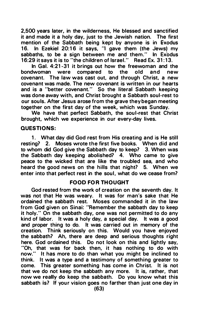2,500 years later, in the wilderness, He blessed and sanctified it and made it a holy day, just to the Jewish nation. The first mention of the Sabbath being kept by anyone is in Exodus 16. In Ezekiel 20:16 it says, "I gave them (the Jews) my sabbaths, to be a sign between me and them." In Expdus 1 6:29 it says it is to "the children of Israel." Read Ex. 31 :13.

In Gal. 4:21 -31 it brings out how the freewoman and the bondwoman were compared to the old and new covenant. The law was cast out, and through Christ, a new covenant was made. The new covenant is written in our hearts and is a "better covenant." So the literal Sabbath keeping was done away with, and Christ brought a Sabbath soul-rest to our souls. After Jesus arose from the grave they began meeting together on the first day of the week, which was Sunday.

We have that perfect Sabbath, the soul-rest that Christ brought, which we experience in our every-day lives.

#### QUESTIONS:

1. What day did God rest from His creating and is He still resting? 2. Moses wrote the first five books. When did and to whom did God give the Sabbath day to keep? 3. When was the Sabbath day keeping abolished? 4. Who came to give peace to the wicked that are like the troubled sea, and who heard the good news on the hills that night? 5. When we enter into that perfect rest in the soul, what do we cease from?

#### FOOD FOR THOUGHT

God rested from the work of creation on the seventh day. It was not that He was weary. It was for man's sake that He ordained the sabbath rest. Moses commanded it in the law from God given on Sinai: "Remember the sabbath day to keep it holy. " On the sabbath day, one was not permitted to do any kind of labor. It was a holy day, a special day. It was a good and proper thing to do. It was carried out in memory of the creation. Think seriously on this. Would you have enjoyed the sabbath? Ah, there are deep and serious thoughts right here. God ordained this. Do not look on this and lightly say. "Oh, that was for back then, it has nothing to do with now." It has more to do than what you might be inclined to think. It was a type and a testimony of something greater to come. This greater something has come in Christ. It is not that we do not keep the sabbath any more. It is, rather, that now we really do keep the sabbath. Do you know what this sabbath is? If your vision goes no farther than just one day in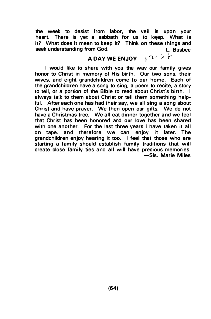the week to desist from labor, the veil is upon your heart. There is yet a sabbath for us to keep. What is it? What does it mean to keep it? Think on these things and seek understanding from God. **L. Busbee** 

# A DAY WE ENJOY  $\sqrt{2^2 + 1}$

1 would like to share with you the way our family gives honor to Christ in memory of His birth. Our two sons, their wives, and eight grandchildren come to our home. Each of the grandchildren have a song to sing, a poem to recite, a story to tell, or a portion of the Bible to read about Christ's birth. I always talk to them about Christ or tell them something helpful. After each one has had their say, we all sing a song about Christ and have prayer. We then open our gifts. We do not have a Christmas tree. We all eat dinner together and we feel that Christ has been honored and our love has been shared with one another. For the last three years I have taken it all on tape. and therefore we can enjoy it later. The grandchildren enjoy hearing it too. I feel that those who are starting a family should establish family traditions that will create close family ties and all will have precious memories. -Sis. Marie Miles